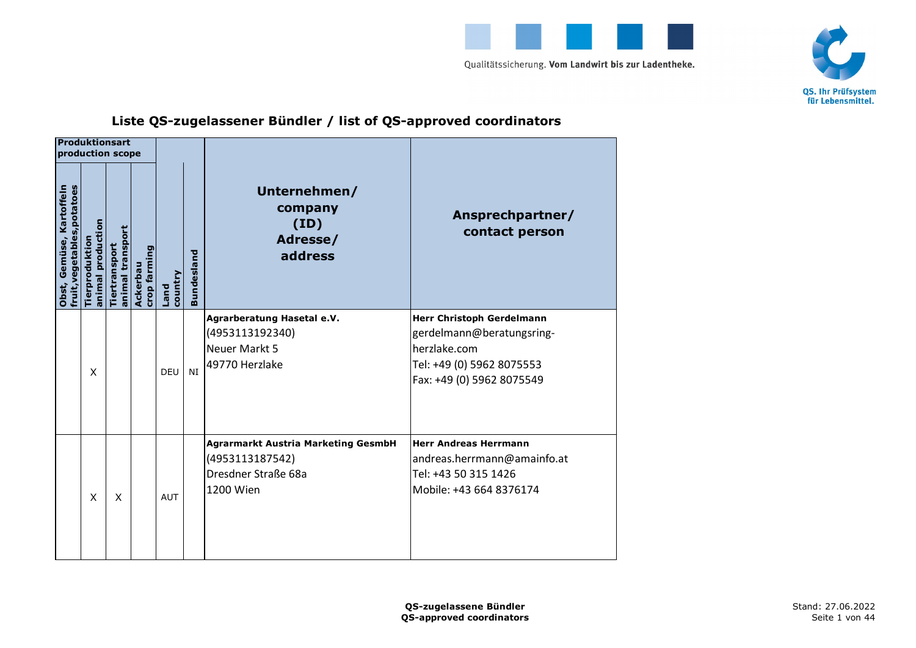



## **Liste QS-zugelassener Bündler / list of QS-approved coordinators**

|                                                         | Produktionsart<br>production scope |                                   |                          |                        |                   |                                                                                                   |                                                                                                                                  |
|---------------------------------------------------------|------------------------------------|-----------------------------------|--------------------------|------------------------|-------------------|---------------------------------------------------------------------------------------------------|----------------------------------------------------------------------------------------------------------------------------------|
| fruit, vegetables, potatoes<br>Obst, Gemüse, Kartoffeln | animal production<br>Tierproduktio | animal transport<br>Tiertransport | crop farming<br>Ackerbau | country<br><b>Land</b> | <b>Bundesland</b> | Unternehmen/<br>company<br>(ID)<br>Adresse/<br>address                                            | Ansprechpartner/<br>contact person                                                                                               |
|                                                         | X                                  |                                   |                          | DFU                    | NI                | Agrarberatung Hasetal e.V.<br>(4953113192340)<br>Neuer Markt 5<br>49770 Herzlake                  | Herr Christoph Gerdelmann<br>gerdelmann@beratungsring-<br>herzlake.com<br>Tel: +49 (0) 5962 8075553<br>Fax: +49 (0) 5962 8075549 |
|                                                         | X                                  | X                                 |                          | <b>AUT</b>             |                   | <b>Agrarmarkt Austria Marketing GesmbH</b><br>(4953113187542)<br>Dresdner Straße 68a<br>1200 Wien | <b>Herr Andreas Herrmann</b><br>andreas.herrmann@amainfo.at<br>Tel: +43 50 315 1426<br>Mobile: +43 664 8376174                   |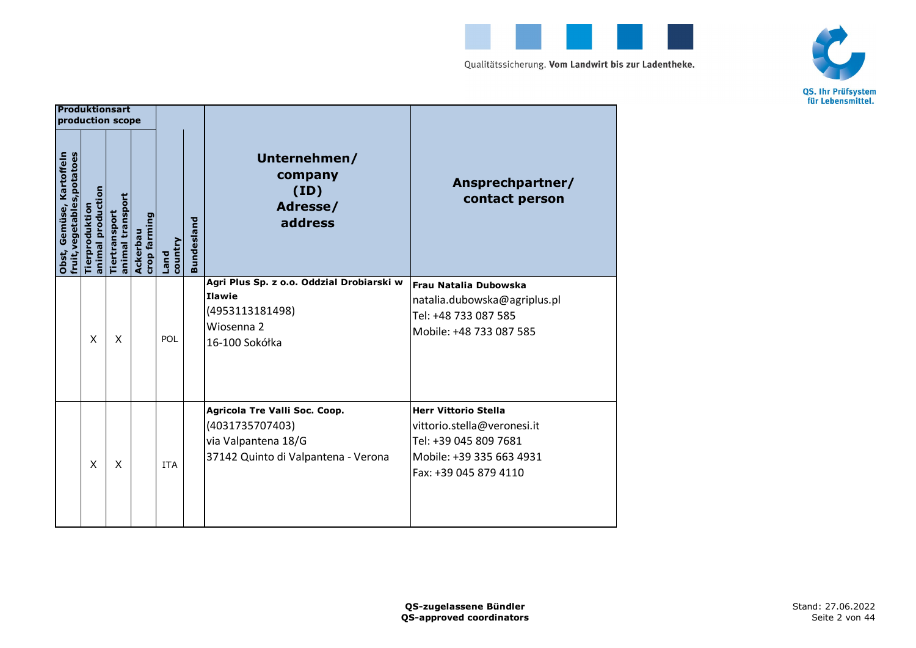



|                                                         | <b>Produktionsart</b><br>production scope |                                   |                          |                 |                   |                                                                                                                |                                                                                                                                          |
|---------------------------------------------------------|-------------------------------------------|-----------------------------------|--------------------------|-----------------|-------------------|----------------------------------------------------------------------------------------------------------------|------------------------------------------------------------------------------------------------------------------------------------------|
| fruit, vegetables, potatoes<br>Obst, Gemüse, Kartoffeln | animal production<br>Tierproduktio        | animal transport<br>Tiertransport | crop farming<br>Ackerbau | country<br>Land | <b>Bundesland</b> | Unternehmen/<br>company<br>(ID)<br>Adresse/<br>address                                                         | Ansprechpartner/<br>contact person                                                                                                       |
|                                                         | X                                         | X                                 |                          | POL             |                   | Agri Plus Sp. z o.o. Oddział Drobiarski w<br><b>Ilawie</b><br>(4953113181498)<br>Wiosenna 2<br>16-100 Sokółka  | Frau Natalia Dubowska<br>natalia.dubowska@agriplus.pl<br>Tel: +48 733 087 585<br>Mobile: +48 733 087 585                                 |
|                                                         | X                                         | X                                 |                          | <b>ITA</b>      |                   | Agricola Tre Valli Soc. Coop.<br>(4031735707403)<br>via Valpantena 18/G<br>37142 Quinto di Valpantena - Verona | <b>Herr Vittorio Stella</b><br>vittorio.stella@veronesi.it<br>Tel: +39 045 809 7681<br>Mobile: +39 335 663 4931<br>Fax: +39 045 879 4110 |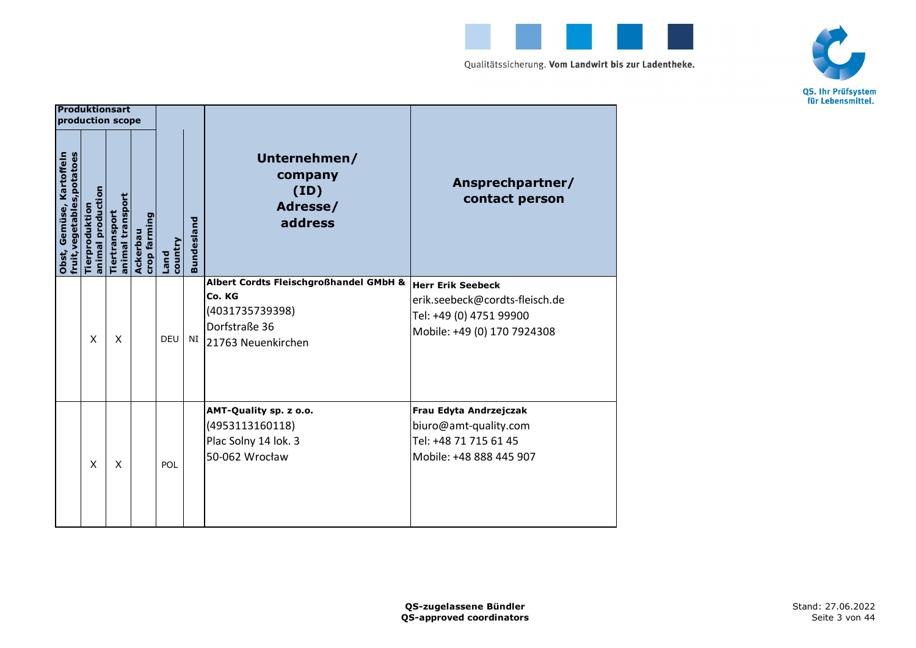



|                                                         | <b>Produktionsart</b><br>production scope |                                   |                          |                 |                   |                                                                                                            |                                                                                                                      |
|---------------------------------------------------------|-------------------------------------------|-----------------------------------|--------------------------|-----------------|-------------------|------------------------------------------------------------------------------------------------------------|----------------------------------------------------------------------------------------------------------------------|
| fruit, vegetables, potatoes<br>Obst, Gemüse, Kartoffeln | animal production<br>Tierproduktio        | animal transport<br>Tiertransport | crop farming<br>Ackerbau | country<br>Land | <b>Bundesland</b> | Unternehmen/<br>company<br>(ID)<br>Adresse/<br>address                                                     | Ansprechpartner/<br>contact person                                                                                   |
|                                                         | X                                         | X                                 |                          | <b>DEU</b>      | NI                | Albert Cordts Fleischgroßhandel GMbH &<br>Co. KG<br>(4031735739398)<br>Dorfstraße 36<br>21763 Neuenkirchen | <b>Herr Erik Seebeck</b><br>erik.seebeck@cordts-fleisch.de<br>Tel: +49 (0) 4751 99900<br>Mobile: +49 (0) 170 7924308 |
|                                                         | X                                         | X                                 |                          | POL             |                   | AMT-Quality sp. z o.o.<br>(4953113160118)<br>Plac Solny 14 lok. 3<br>50-062 Wrocław                        | Frau Edyta Andrzejczak<br>biuro@amt-quality.com<br>Tel: +48 71 715 61 45<br>Mobile: +48 888 445 907                  |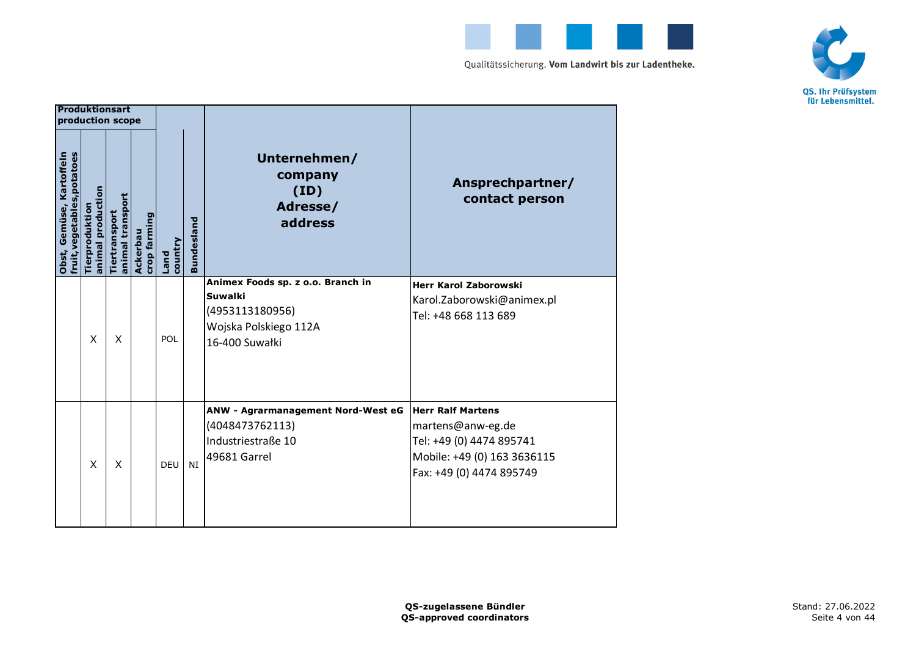



|                                                         | Produktionsart<br>production scope |                                   |                          |                        |                   |                                                                                                                   |                                                                                                                                      |
|---------------------------------------------------------|------------------------------------|-----------------------------------|--------------------------|------------------------|-------------------|-------------------------------------------------------------------------------------------------------------------|--------------------------------------------------------------------------------------------------------------------------------------|
| fruit, vegetables, potatoes<br>Obst, Gemüse, Kartoffeln | animal production<br>Tierproduktio | animal transport<br>Tiertransport | crop farming<br>Ackerbau | country<br><b>Land</b> | <b>Bundesland</b> | Unternehmen/<br>company<br>(ID)<br>Adresse/<br>address                                                            | Ansprechpartner/<br>contact person                                                                                                   |
|                                                         | X                                  | X                                 |                          | POL                    |                   | Animex Foods sp. z o.o. Branch in<br><b>Suwalki</b><br>(4953113180956)<br>Wojska Polskiego 112A<br>16-400 Suwałki | <b>Herr Karol Zaborowski</b><br>Karol.Zaborowski@animex.pl<br>Tel: +48 668 113 689                                                   |
|                                                         | X                                  | X                                 |                          | DEU                    | NI                | ANW - Agrarmanagement Nord-West eG<br>(4048473762113)<br>Industriestraße 10<br>49681 Garrel                       | <b>Herr Ralf Martens</b><br>martens@anw-eg.de<br>Tel: +49 (0) 4474 895741<br>Mobile: +49 (0) 163 3636115<br>Fax: +49 (0) 4474 895749 |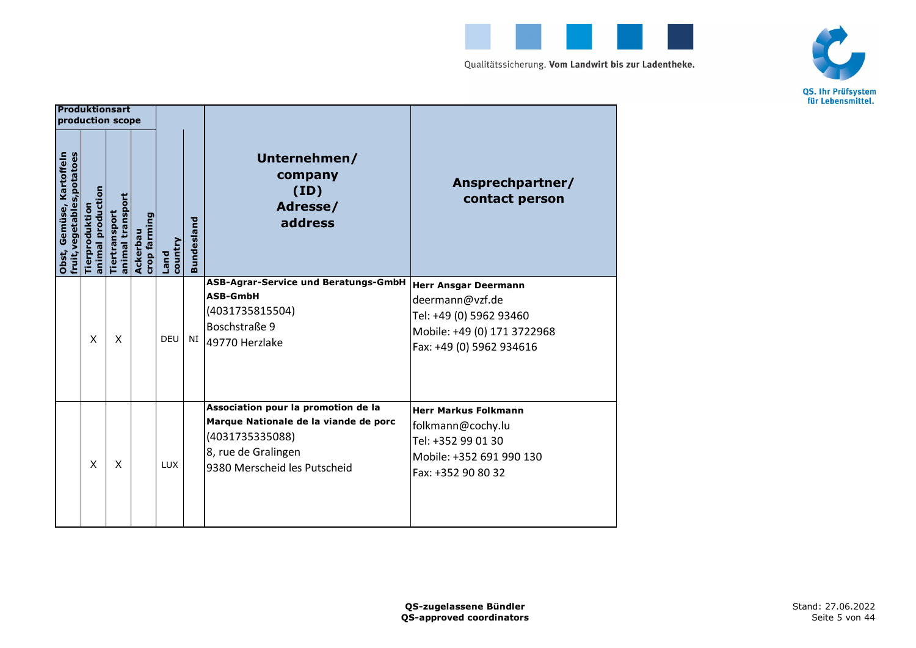



|                                                         | <b>Produktionsart</b><br>production scope |                                   |                          |                 |                   |                                                                                                                                                        |                                                                                                                                      |
|---------------------------------------------------------|-------------------------------------------|-----------------------------------|--------------------------|-----------------|-------------------|--------------------------------------------------------------------------------------------------------------------------------------------------------|--------------------------------------------------------------------------------------------------------------------------------------|
| fruit, vegetables, potatoes<br>Obst, Gemüse, Kartoffeln | animal production<br><b>Tierproduktio</b> | animal transport<br>Tiertransport | crop farming<br>Ackerbau | country<br>Land | <b>Bundesland</b> | Unternehmen/<br>company<br>(ID)<br>Adresse/<br>address                                                                                                 | Ansprechpartner/<br>contact person                                                                                                   |
|                                                         | X                                         | X                                 |                          | <b>DEU</b>      | NI                | ASB-Agrar-Service und Beratungs-GmbH<br><b>ASB-GmbH</b><br>(4031735815504)<br>Boschstraße 9<br>49770 Herzlake                                          | <b>Herr Ansgar Deermann</b><br>deermann@vzf.de<br>Tel: +49 (0) 5962 93460<br>Mobile: +49 (0) 171 3722968<br>Fax: +49 (0) 5962 934616 |
|                                                         | X                                         | X                                 |                          | <b>LUX</b>      |                   | Association pour la promotion de la<br>Marque Nationale de la viande de porc<br>(4031735335088)<br>8, rue de Gralingen<br>9380 Merscheid les Putscheid | <b>Herr Markus Folkmann</b><br>folkmann@cochy.lu<br>Tel: +352 99 01 30<br>Mobile: +352 691 990 130<br>Fax: +352 90 80 32             |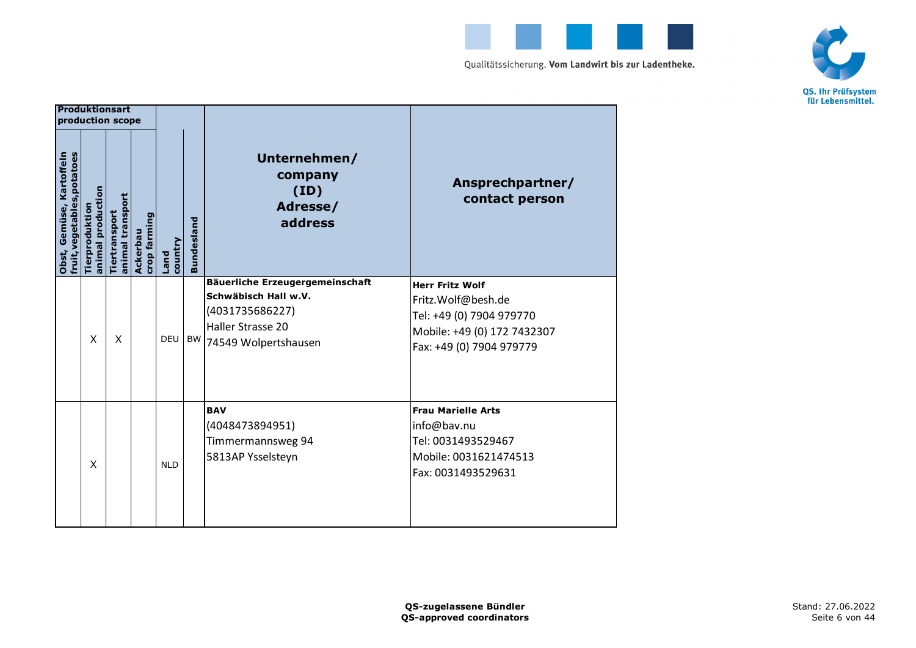



|                                                         | <b>Produktionsart</b><br>production scope |                                   |                          |                 |                   |                                                                                                                         |                                                                                                                                     |
|---------------------------------------------------------|-------------------------------------------|-----------------------------------|--------------------------|-----------------|-------------------|-------------------------------------------------------------------------------------------------------------------------|-------------------------------------------------------------------------------------------------------------------------------------|
| fruit, vegetables, potatoes<br>Obst, Gemüse, Kartoffeln | animal production<br>Tierproduktio        | animal transport<br>Tiertransport | crop farming<br>Ackerbau | country<br>Land | <b>Bundesland</b> | Unternehmen/<br>company<br>(ID)<br>Adresse/<br>address                                                                  | Ansprechpartner/<br>contact person                                                                                                  |
|                                                         | X                                         | X                                 |                          | <b>DEU</b>      | <b>BW</b>         | Bäuerliche Erzeugergemeinschaft<br>Schwäbisch Hall w.V.<br>(4031735686227)<br>Haller Strasse 20<br>74549 Wolpertshausen | <b>Herr Fritz Wolf</b><br>Fritz.Wolf@besh.de<br>Tel: +49 (0) 7904 979770<br>Mobile: +49 (0) 172 7432307<br>Fax: +49 (0) 7904 979779 |
|                                                         | X                                         |                                   |                          | <b>NLD</b>      |                   | <b>BAV</b><br>(4048473894951)<br>Timmermannsweg 94<br>5813AP Ysselsteyn                                                 | <b>Frau Marielle Arts</b><br>info@bav.nu<br>Tel: 0031493529467<br>Mobile: 0031621474513<br>Fax: 0031493529631                       |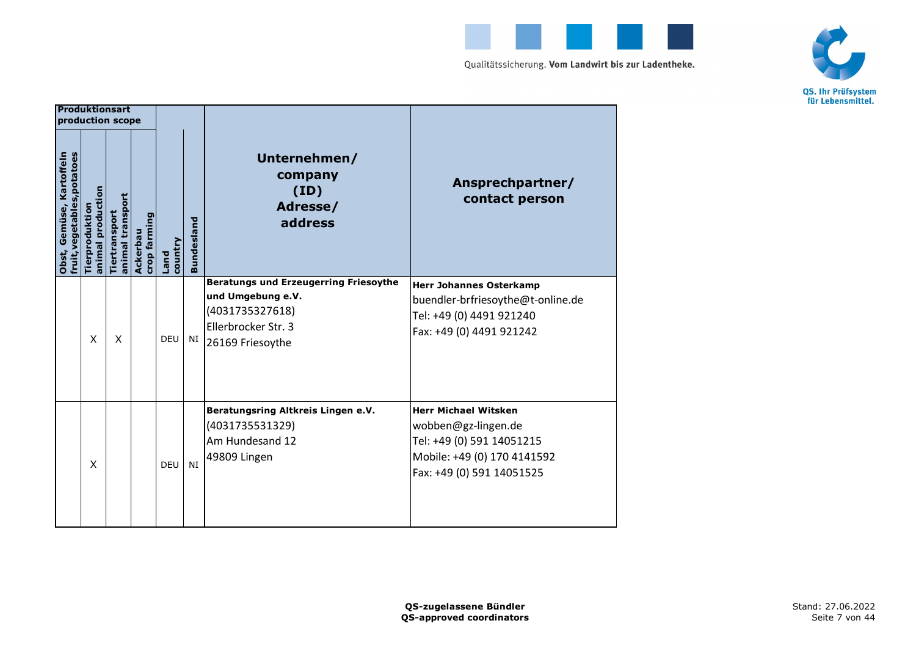



|                                                         | <b>Produktionsart</b><br>production scope |                                   |                          |                 |                   |                                                                                                                                 |                                                                                                                                             |
|---------------------------------------------------------|-------------------------------------------|-----------------------------------|--------------------------|-----------------|-------------------|---------------------------------------------------------------------------------------------------------------------------------|---------------------------------------------------------------------------------------------------------------------------------------------|
| fruit, vegetables, potatoes<br>Obst, Gemüse, Kartoffeln | animal production<br>Tierproduktio        | animal transport<br>Tiertransport | crop farming<br>Ackerbau | country<br>Land | <b>Bundesland</b> | Unternehmen/<br>company<br>(ID)<br>Adresse/<br>address                                                                          | Ansprechpartner/<br>contact person                                                                                                          |
|                                                         | $\mathsf{x}$                              | X                                 |                          | <b>DEU</b>      | NI                | <b>Beratungs und Erzeugerring Friesoythe</b><br>und Umgebung e.V.<br>(4031735327618)<br>Ellerbrocker Str. 3<br>26169 Friesoythe | <b>Herr Johannes Osterkamp</b><br>buendler-brfriesoythe@t-online.de<br>Tel: +49 (0) 4491 921240<br>Fax: +49 (0) 4491 921242                 |
|                                                         | X                                         |                                   |                          | DEU             | NI                | Beratungsring Altkreis Lingen e.V.<br>(4031735531329)<br>Am Hundesand 12<br>49809 Lingen                                        | <b>Herr Michael Witsken</b><br>wobben@gz-lingen.de<br>Tel: +49 (0) 591 14051215<br>Mobile: +49 (0) 170 4141592<br>Fax: +49 (0) 591 14051525 |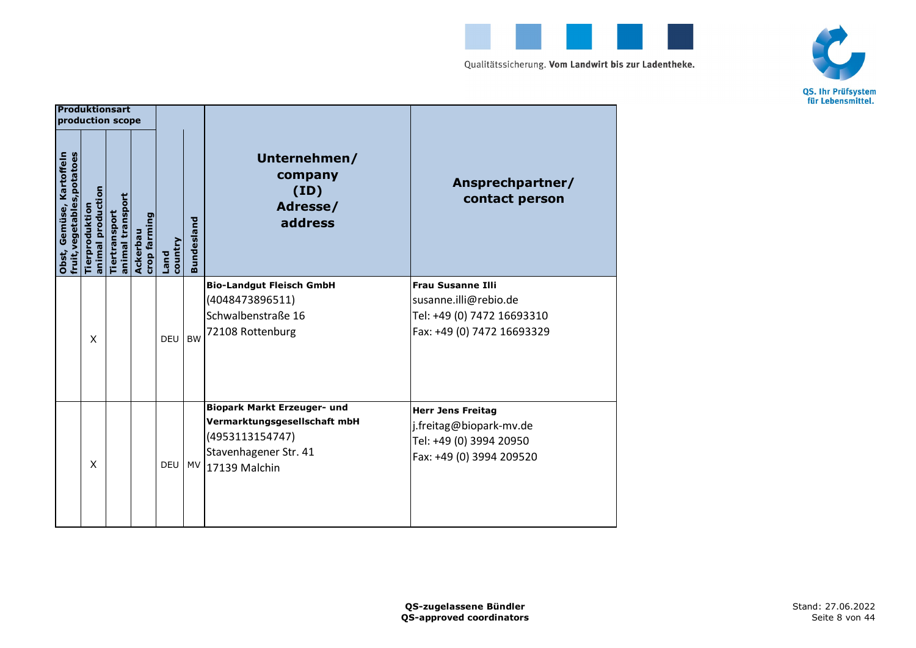



|                                                         | Produktionsart<br>production scope |                                   |                          |                 |                   |                                                                                                                                    |                                                                                                               |
|---------------------------------------------------------|------------------------------------|-----------------------------------|--------------------------|-----------------|-------------------|------------------------------------------------------------------------------------------------------------------------------------|---------------------------------------------------------------------------------------------------------------|
| fruit, vegetables, potatoes<br>Obst, Gemüse, Kartoffeln | animal production<br>Tierproduktio | animal transport<br>Tiertransport | crop farming<br>Ackerbau | country<br>Land | <b>Bundesland</b> | Unternehmen/<br>company<br>(ID)<br>Adresse/<br>address                                                                             | Ansprechpartner/<br>contact person                                                                            |
|                                                         | X                                  |                                   |                          | DEU             | <b>BW</b>         | <b>Bio-Landgut Fleisch GmbH</b><br>(4048473896511)<br>Schwalbenstraße 16<br>72108 Rottenburg                                       | <b>Frau Susanne Illi</b><br>susanne.illi@rebio.de<br>Tel: +49 (0) 7472 16693310<br>Fax: +49 (0) 7472 16693329 |
|                                                         | X                                  |                                   |                          | <b>DEU</b>      |                   | <b>Biopark Markt Erzeuger- und</b><br>Vermarktungsgesellschaft mbH<br>(4953113154747)<br>Stavenhagener Str. 41<br>MV 17139 Malchin | <b>Herr Jens Freitag</b><br>j.freitag@biopark-mv.de<br>Tel: +49 (0) 3994 20950<br>Fax: +49 (0) 3994 209520    |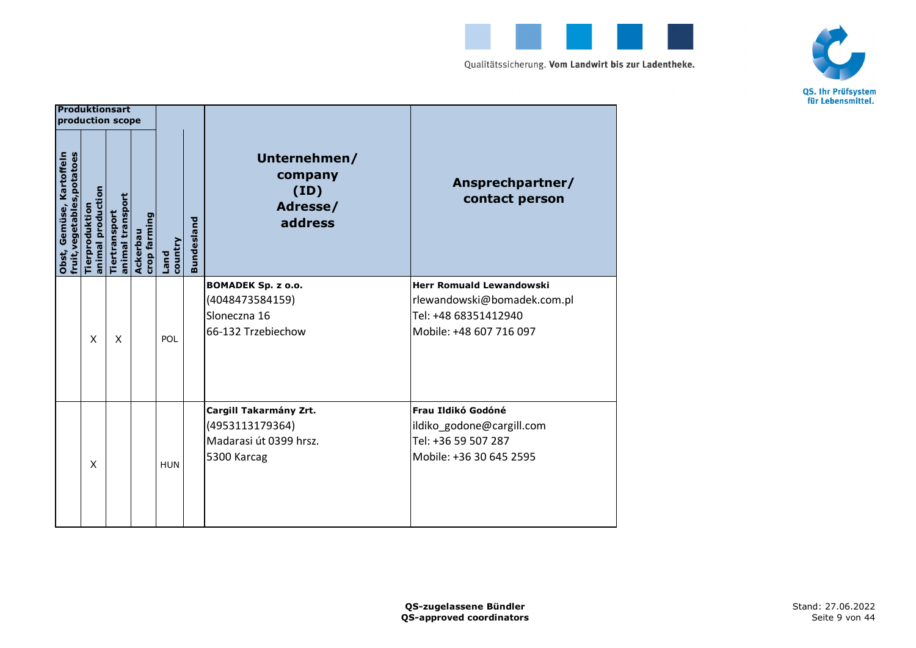



|                                                         | Produktionsart<br>production scope |                                   |                          |                        |                   |                                                                                    |                                                                                                                   |
|---------------------------------------------------------|------------------------------------|-----------------------------------|--------------------------|------------------------|-------------------|------------------------------------------------------------------------------------|-------------------------------------------------------------------------------------------------------------------|
| fruit, vegetables, potatoes<br>Obst, Gemüse, Kartoffeln | animal production<br>Tierproduktio | animal transport<br>Tiertransport | crop farming<br>Ackerbau | country<br><b>Land</b> | <b>Bundesland</b> | Unternehmen/<br>company<br>(ID)<br>Adresse/<br>address                             | Ansprechpartner/<br>contact person                                                                                |
|                                                         | X                                  | X                                 |                          | POL                    |                   | <b>BOMADEK Sp. z o.o.</b><br>(4048473584159)<br>Sloneczna 16<br>66-132 Trzebiechow | <b>Herr Romuald Lewandowski</b><br>rlewandowski@bomadek.com.pl<br>Tel: +48 68351412940<br>Mobile: +48 607 716 097 |
|                                                         | X                                  |                                   |                          | <b>HUN</b>             |                   | Cargill Takarmány Zrt.<br>(4953113179364)<br>Madarasi út 0399 hrsz.<br>5300 Karcag | Frau Ildikó Godóné<br>ildiko_godone@cargill.com<br>Tel: +36 59 507 287<br>Mobile: +36 30 645 2595                 |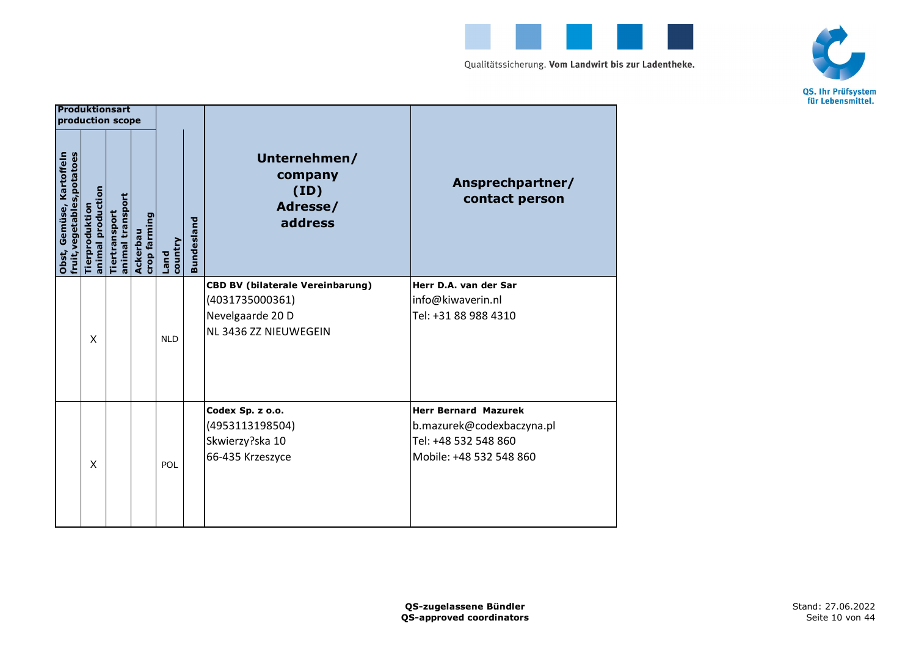



|                                                         | Produktionsart<br>production scope |                                   |                          |                 |                   |                                                                                                         |                                                                                                             |
|---------------------------------------------------------|------------------------------------|-----------------------------------|--------------------------|-----------------|-------------------|---------------------------------------------------------------------------------------------------------|-------------------------------------------------------------------------------------------------------------|
| fruit, vegetables, potatoes<br>Obst, Gemüse, Kartoffeln | animal production<br>Tierproduktio | animal transport<br>Tiertransport | crop farming<br>Ackerbau | country<br>Land | <b>Bundesland</b> | Unternehmen/<br>company<br>(ID)<br>Adresse/<br>address                                                  | Ansprechpartner/<br>contact person                                                                          |
|                                                         | X                                  |                                   |                          | <b>NLD</b>      |                   | <b>CBD BV (bilaterale Vereinbarung)</b><br>(4031735000361)<br>Nevelgaarde 20 D<br>NL 3436 ZZ NIEUWEGEIN | Herr D.A. van der Sar<br>info@kiwaverin.nl<br>Tel: +31 88 988 4310                                          |
|                                                         | X                                  |                                   |                          | POL             |                   | Codex Sp. z o.o.<br>(4953113198504)<br>Skwierzy?ska 10<br>66-435 Krzeszyce                              | <b>Herr Bernard Mazurek</b><br>b.mazurek@codexbaczyna.pl<br>Tel: +48 532 548 860<br>Mobile: +48 532 548 860 |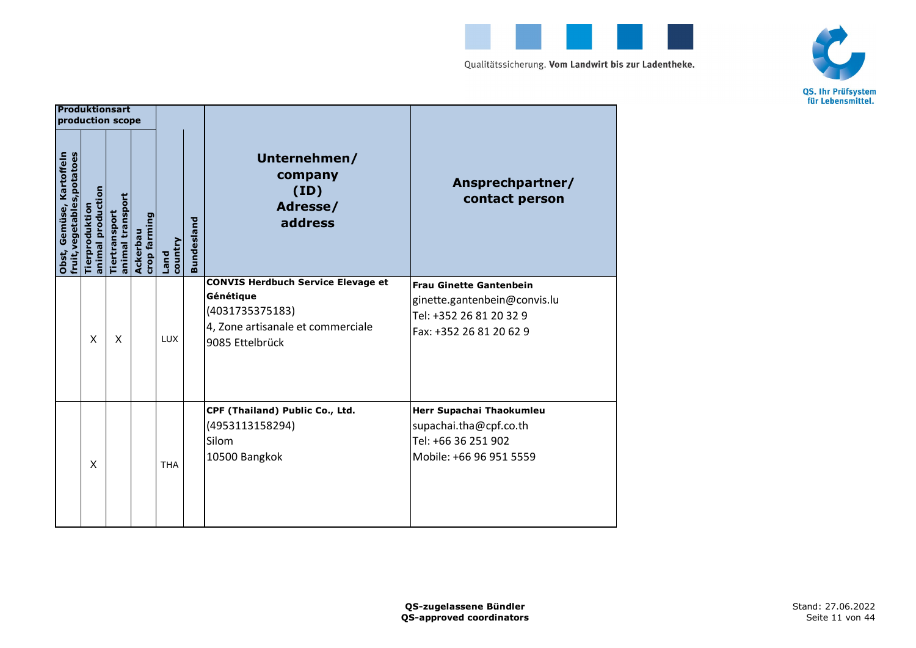



|                                                         | Produktionsart<br>production scope |                                   |                          |                 |                   |                                                                                                                                   |                                                                                                                      |
|---------------------------------------------------------|------------------------------------|-----------------------------------|--------------------------|-----------------|-------------------|-----------------------------------------------------------------------------------------------------------------------------------|----------------------------------------------------------------------------------------------------------------------|
| fruit, vegetables, potatoes<br>Obst, Gemüse, Kartoffeln | animal production<br>Tierproduktio | animal transport<br>Tiertransport | crop farming<br>Ackerbau | country<br>Land | <b>Bundesland</b> | Unternehmen/<br>company<br>(ID)<br>Adresse/<br>address                                                                            | Ansprechpartner/<br>contact person                                                                                   |
|                                                         | $\mathsf{x}$                       | X                                 |                          | <b>LUX</b>      |                   | <b>CONVIS Herdbuch Service Elevage et</b><br>Génétique<br>(4031735375183)<br>4, Zone artisanale et commerciale<br>9085 Ettelbrück | <b>Frau Ginette Gantenbein</b><br>ginette.gantenbein@convis.lu<br>Tel: +352 26 81 20 32 9<br>Fax: +352 26 81 20 62 9 |
|                                                         | $\times$                           |                                   |                          | <b>THA</b>      |                   | CPF (Thailand) Public Co., Ltd.<br>(4953113158294)<br>Silom<br>10500 Bangkok                                                      | Herr Supachai Thaokumleu<br>supachai.tha@cpf.co.th<br>Tel: +66 36 251 902<br>Mobile: +66 96 951 5559                 |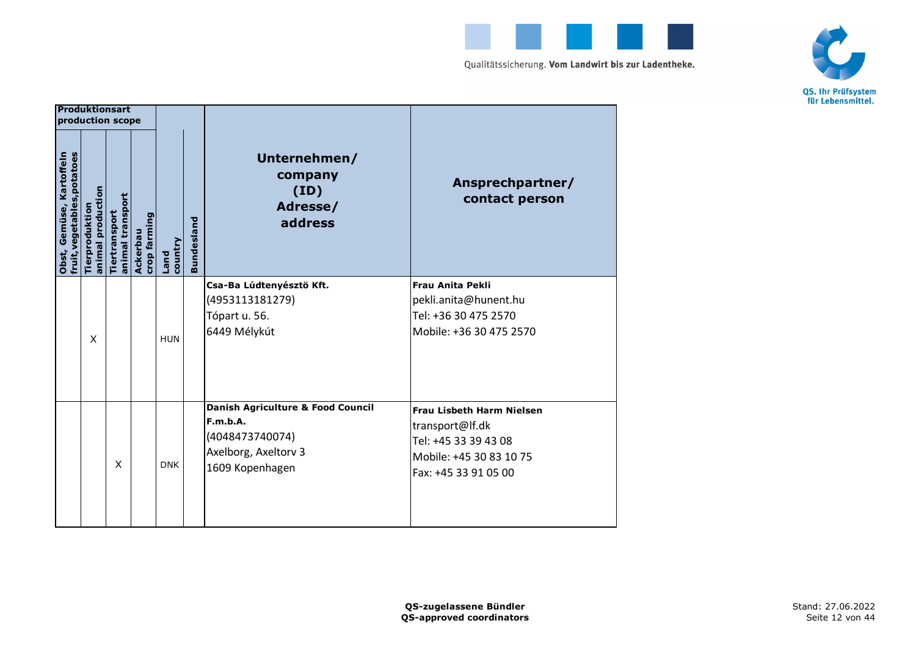



|                                                         | <b>Produktionsart</b><br>production scope |                                   |                          |                        |                   |                                                                                                             |                                                                                                                                |
|---------------------------------------------------------|-------------------------------------------|-----------------------------------|--------------------------|------------------------|-------------------|-------------------------------------------------------------------------------------------------------------|--------------------------------------------------------------------------------------------------------------------------------|
| fruit, vegetables, potatoes<br>Obst, Gemüse, Kartoffeln | animal production<br>Tierproduktion       | animal transport<br>Tiertransport | crop farming<br>Ackerbau | country<br><b>Land</b> | <b>Bundesland</b> | Unternehmen/<br>company<br>(ID)<br>Adresse/<br>address                                                      | Ansprechpartner/<br>contact person                                                                                             |
|                                                         | X                                         |                                   |                          | <b>HUN</b>             |                   | Csa-Ba Lúdtenyésztö Kft.<br>(4953113181279)<br>Tópart u. 56.<br>6449 Mélykút                                | <b>Frau Anita Pekli</b><br>pekli.anita@hunent.hu<br>Tel: +36 30 475 2570<br>Mobile: +36 30 475 2570                            |
|                                                         |                                           | X                                 |                          | <b>DNK</b>             |                   | Danish Agriculture & Food Council<br>F.m.b.A.<br>(4048473740074)<br>Axelborg, Axeltorv 3<br>1609 Kopenhagen | <b>Frau Lisbeth Harm Nielsen</b><br>transport@If.dk<br>Tel: +45 33 39 43 08<br>Mobile: +45 30 83 10 75<br>Fax: +45 33 91 05 00 |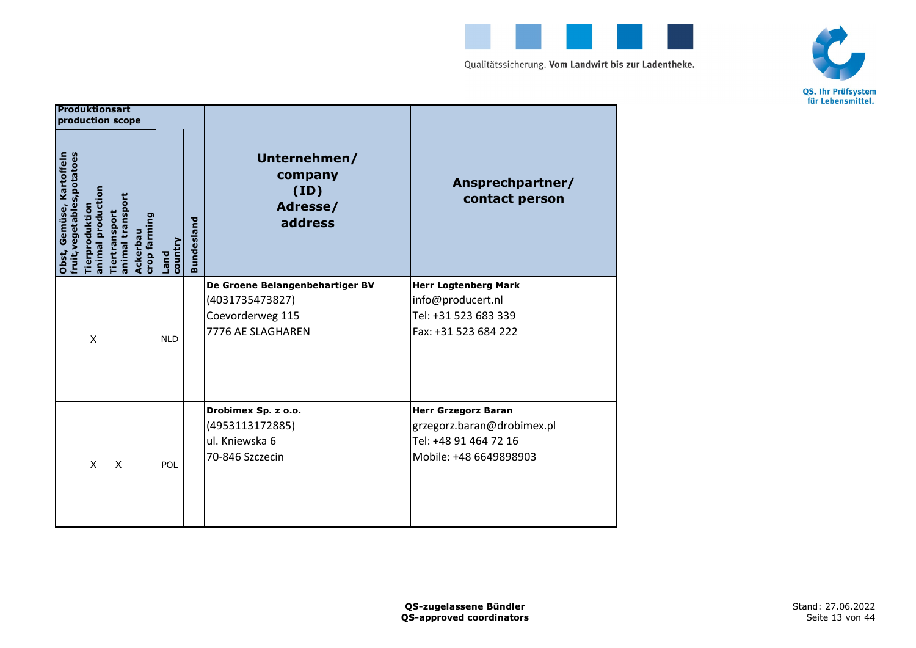



| Produktionsart<br>production scope                      |                                    |                                   |                          |                        |                   |                                                                                             |                                                                                                             |
|---------------------------------------------------------|------------------------------------|-----------------------------------|--------------------------|------------------------|-------------------|---------------------------------------------------------------------------------------------|-------------------------------------------------------------------------------------------------------------|
| fruit, vegetables, potatoes<br>Obst, Gemüse, Kartoffeln | animal production<br>Tierproduktio | animal transport<br>Tiertransport | crop farming<br>Ackerbau | country<br><b>Land</b> | <b>Bundesland</b> | Unternehmen/<br>company<br>(ID)<br>Adresse/<br>address                                      | Ansprechpartner/<br>contact person                                                                          |
|                                                         | X                                  |                                   |                          | <b>NLD</b>             |                   | De Groene Belangenbehartiger BV<br>(4031735473827)<br>Coevorderweg 115<br>7776 AE SLAGHAREN | <b>Herr Logtenberg Mark</b><br>info@producert.nl<br>Tel: +31 523 683 339<br>Fax: +31 523 684 222            |
|                                                         | X                                  | X                                 |                          | POL                    |                   | Drobimex Sp. z o.o.<br>(4953113172885)<br>ul. Kniewska 6<br>70-846 Szczecin                 | <b>Herr Grzegorz Baran</b><br>grzegorz.baran@drobimex.pl<br>Tel: +48 91 464 72 16<br>Mobile: +48 6649898903 |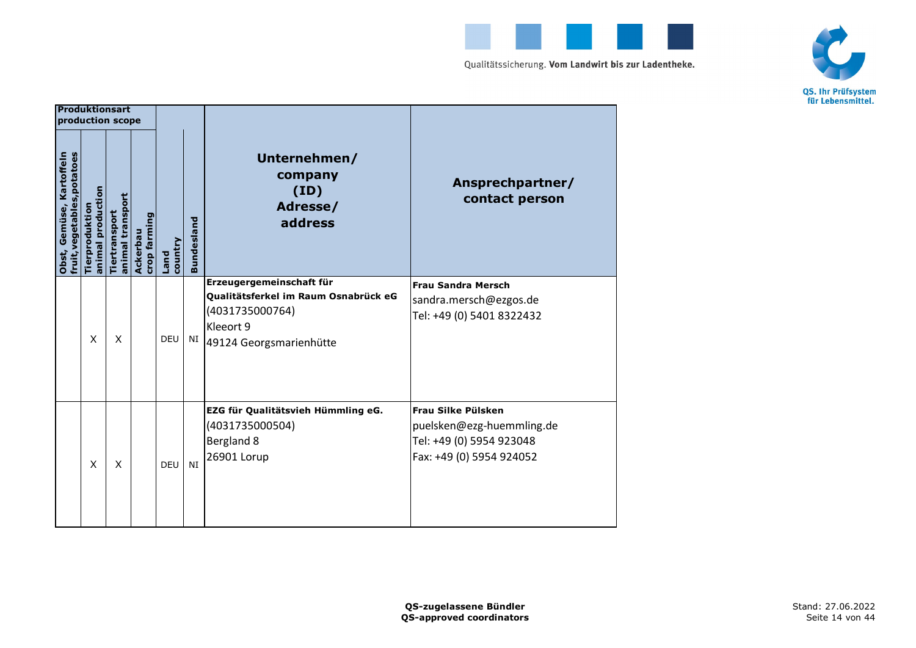



|                                                         | <b>Produktionsart</b><br>production scope   |                                   |                          |                        |                   |                                                                                                                             |                                                                                                         |
|---------------------------------------------------------|---------------------------------------------|-----------------------------------|--------------------------|------------------------|-------------------|-----------------------------------------------------------------------------------------------------------------------------|---------------------------------------------------------------------------------------------------------|
| fruit, vegetables, potatoes<br>Obst, Gemüse, Kartoffeln | production<br><b>Tierprodukti</b><br>animal | animal transport<br>Tiertransport | crop farming<br>Ackerbau | country<br><b>Land</b> | <b>Bundesland</b> | Unternehmen/<br>company<br>(ID)<br>Adresse/<br>address                                                                      | Ansprechpartner/<br>contact person                                                                      |
|                                                         | X                                           | X                                 |                          | <b>DEU</b>             | NI                | Erzeugergemeinschaft für<br>Qualitätsferkel im Raum Osnabrück eG<br>(4031735000764)<br>Kleeort 9<br>49124 Georgsmarienhütte | <b>Frau Sandra Mersch</b><br>sandra.mersch@ezgos.de<br>Tel: +49 (0) 5401 8322432                        |
|                                                         | X                                           | X                                 |                          | DEU                    | NI                | EZG für Qualitätsvieh Hümmling eG.<br>(4031735000504)<br>Bergland 8<br>26901 Lorup                                          | Frau Silke Pülsken<br>puelsken@ezg-huemmling.de<br>Tel: +49 (0) 5954 923048<br>Fax: +49 (0) 5954 924052 |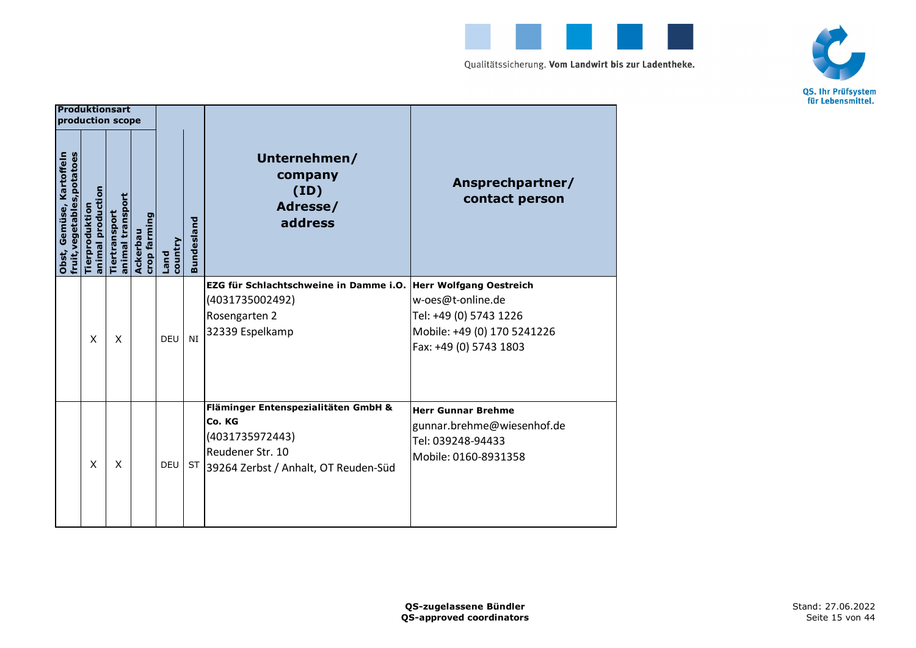



|                                                         | <b>Produktionsart</b><br>production scope |                                   |                          |                 |                   |                                                                                                                              |                                                                                                                                 |
|---------------------------------------------------------|-------------------------------------------|-----------------------------------|--------------------------|-----------------|-------------------|------------------------------------------------------------------------------------------------------------------------------|---------------------------------------------------------------------------------------------------------------------------------|
| fruit, vegetables, potatoes<br>Obst, Gemüse, Kartoffeln | animal production<br>Tierproduktio        | animal transport<br>Tiertransport | crop farming<br>Ackerbau | country<br>Land | <b>Bundesland</b> | Unternehmen/<br>company<br>(ID)<br>Adresse/<br>address                                                                       | Ansprechpartner/<br>contact person                                                                                              |
|                                                         | X                                         | X                                 |                          | <b>DEU</b>      | <b>NI</b>         | EZG für Schlachtschweine in Damme i.O.<br>(4031735002492)<br>Rosengarten 2<br>32339 Espelkamp                                | Herr Wolfgang Oestreich<br>w-oes@t-online.de<br>Tel: +49 (0) 5743 1226<br>Mobile: +49 (0) 170 5241226<br>Fax: +49 (0) 5743 1803 |
|                                                         | X                                         | X                                 |                          | <b>DEU</b>      | <b>ST</b>         | Fläminger Entenspezialitäten GmbH &<br>Co. KG<br>(4031735972443)<br>Reudener Str. 10<br>39264 Zerbst / Anhalt, OT Reuden-Süd | <b>Herr Gunnar Brehme</b><br>gunnar.brehme@wiesenhof.de<br>Tel: 039248-94433<br>Mobile: 0160-8931358                            |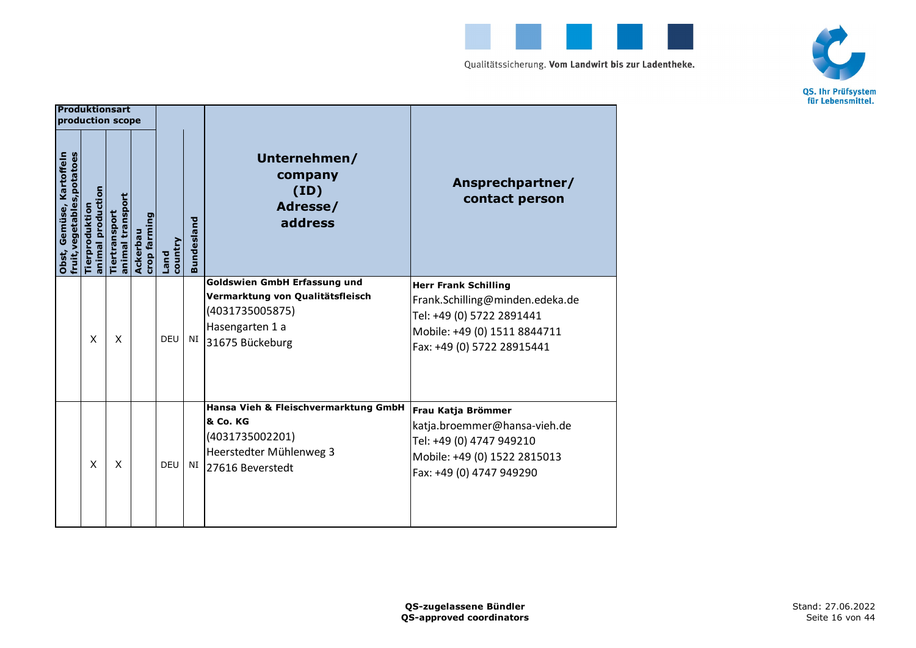



|                                                         | <b>Produktionsart</b><br>production scope |                                   |                          |                 |                   |                                                                                                                                  |                                                                                                                                                           |
|---------------------------------------------------------|-------------------------------------------|-----------------------------------|--------------------------|-----------------|-------------------|----------------------------------------------------------------------------------------------------------------------------------|-----------------------------------------------------------------------------------------------------------------------------------------------------------|
| fruit, vegetables, potatoes<br>Obst, Gemüse, Kartoffeln | animal production<br>Tierproduktio        | animal transport<br>Tiertransport | crop farming<br>Ackerbau | country<br>Land | <b>Bundesland</b> | Unternehmen/<br>company<br>(ID)<br>Adresse/<br>address                                                                           | Ansprechpartner/<br>contact person                                                                                                                        |
|                                                         | X                                         | X                                 |                          | <b>DEU</b>      | NI                | <b>Goldswien GmbH Erfassung und</b><br>Vermarktung von Qualitätsfleisch<br>(4031735005875)<br>Hasengarten 1 a<br>31675 Bückeburg | <b>Herr Frank Schilling</b><br>Frank.Schilling@minden.edeka.de<br>Tel: +49 (0) 5722 2891441<br>Mobile: +49 (0) 1511 8844711<br>Fax: +49 (0) 5722 28915441 |
|                                                         | X                                         | X                                 |                          | <b>DEU</b>      | NI                | Hansa Vieh & Fleischvermarktung GmbH<br>& Co. KG<br>(4031735002201)<br>Heerstedter Mühlenweg 3<br>27616 Beverstedt               | Frau Katja Brömmer<br>katja.broemmer@hansa-vieh.de<br>Tel: +49 (0) 4747 949210<br>Mobile: +49 (0) 1522 2815013<br>Fax: +49 (0) 4747 949290                |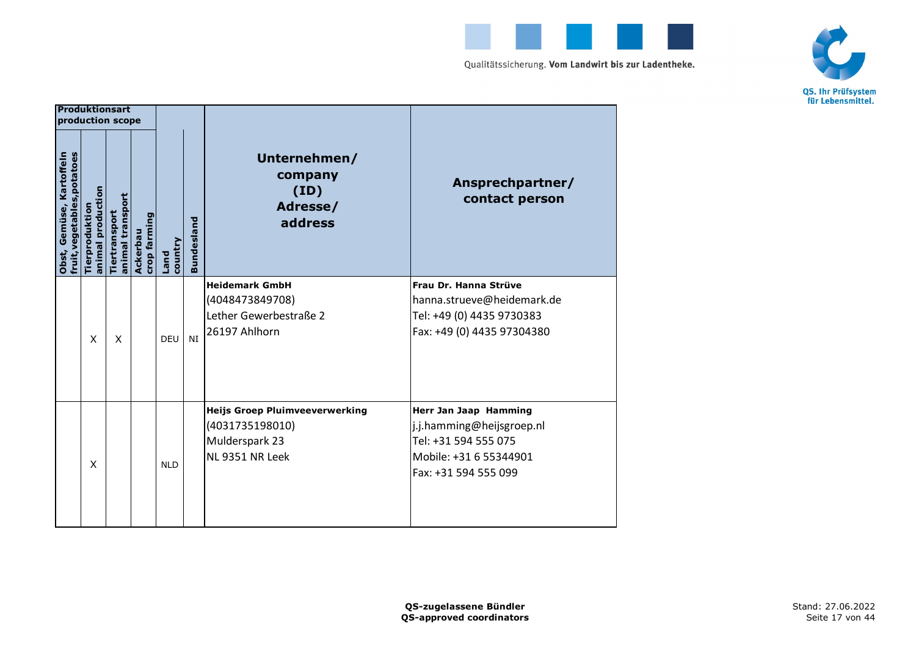



|                                                         | <b>Produktionsart</b><br>production scope |                                   |                          |                 |                   |                                                                                               |                                                                                                                              |
|---------------------------------------------------------|-------------------------------------------|-----------------------------------|--------------------------|-----------------|-------------------|-----------------------------------------------------------------------------------------------|------------------------------------------------------------------------------------------------------------------------------|
| fruit, vegetables, potatoes<br>Obst, Gemüse, Kartoffeln | animal production<br><b>Tierproduktio</b> | animal transport<br>Tiertransport | crop farming<br>Ackerbau | country<br>Land | <b>Bundesland</b> | Unternehmen/<br>company<br>(ID)<br>Adresse/<br>address                                        | Ansprechpartner/<br>contact person                                                                                           |
|                                                         | $\mathsf{x}$                              | X                                 |                          | DEU             | <b>NT</b>         | <b>Heidemark GmbH</b><br>(4048473849708)<br>Lether Gewerbestraße 2<br>26197 Ahlhorn           | Frau Dr. Hanna Strüve<br>hanna.strueve@heidemark.de<br>Tel: +49 (0) 4435 9730383<br>Fax: +49 (0) 4435 97304380               |
|                                                         | X                                         |                                   |                          | <b>NLD</b>      |                   | <b>Heijs Groep Pluimveeverwerking</b><br>(4031735198010)<br>Mulderspark 23<br>NL 9351 NR Leek | Herr Jan Jaap Hamming<br>j.j.hamming@heijsgroep.nl<br>Tel: +31 594 555 075<br>Mobile: +31 6 55344901<br>Fax: +31 594 555 099 |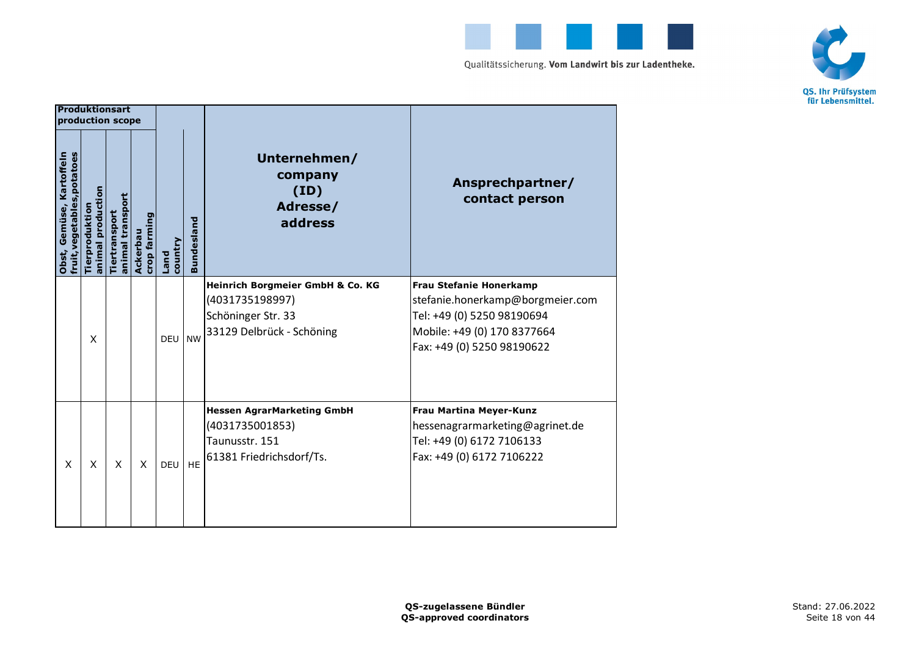



|                                                               | <b>Produktionsart</b><br>production scope |                                   |                          |                 |                   |                                                                                                        |                                                                                                                                                               |
|---------------------------------------------------------------|-------------------------------------------|-----------------------------------|--------------------------|-----------------|-------------------|--------------------------------------------------------------------------------------------------------|---------------------------------------------------------------------------------------------------------------------------------------------------------------|
| fruit, vegetables, potatoes<br>Kartoffeln<br>Gemüse,<br>Obst, | animal production<br>Tierproduktio        | animal transport<br>Tiertransport | crop farming<br>Ackerbau | country<br>Land | <b>Bundesland</b> | Unternehmen/<br>company<br>(ID)<br>Adresse/<br>address                                                 | Ansprechpartner/<br>contact person                                                                                                                            |
|                                                               | X                                         |                                   |                          | <b>DEU</b>      | <b>NW</b>         | Heinrich Borgmeier GmbH & Co. KG<br>(4031735198997)<br>Schöninger Str. 33<br>33129 Delbrück - Schöning | <b>Frau Stefanie Honerkamp</b><br>stefanie.honerkamp@borgmeier.com<br>Tel: +49 (0) 5250 98190694<br>Mobile: +49 (0) 170 8377664<br>Fax: +49 (0) 5250 98190622 |
| X                                                             | X                                         | X                                 | X                        | <b>DEU</b>      | <b>HE</b>         | <b>Hessen AgrarMarketing GmbH</b><br>(4031735001853)<br>Taunusstr. 151<br>61381 Friedrichsdorf/Ts.     | Frau Martina Meyer-Kunz<br>hessenagrarmarketing@agrinet.de<br>Tel: +49 (0) 6172 7106133<br>Fax: +49 (0) 6172 7106222                                          |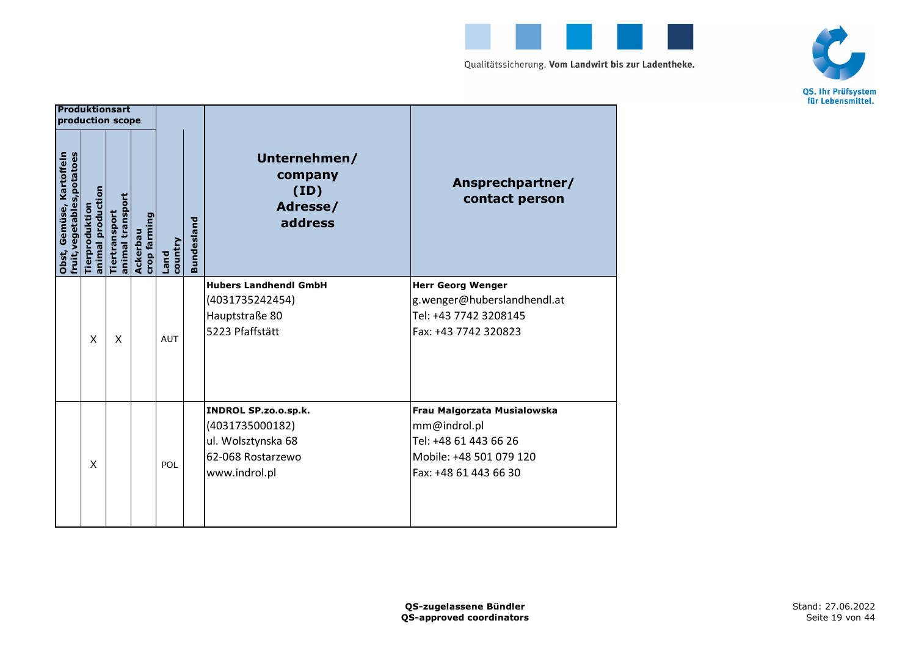



|                                                         | <b>Produktionsart</b><br>production scope |                                   |                          |                        |                   |                                                                                                            |                                                                                                                          |
|---------------------------------------------------------|-------------------------------------------|-----------------------------------|--------------------------|------------------------|-------------------|------------------------------------------------------------------------------------------------------------|--------------------------------------------------------------------------------------------------------------------------|
| fruit, vegetables, potatoes<br>Obst, Gemüse, Kartoffeln | animal production<br>Tierproduktion       | animal transport<br>Tiertransport | crop farming<br>Ackerbau | country<br><b>Land</b> | <b>Bundesland</b> | Unternehmen/<br>company<br>(ID)<br>Adresse/<br>address                                                     | Ansprechpartner/<br>contact person                                                                                       |
|                                                         | X                                         | X                                 |                          | <b>AUT</b>             |                   | <b>Hubers Landhendl GmbH</b><br>(4031735242454)<br>Hauptstraße 80<br>5223 Pfaffstätt                       | <b>Herr Georg Wenger</b><br>g.wenger@huberslandhendl.at<br>Tel: +43 7742 3208145<br>Fax: +43 7742 320823                 |
|                                                         | X                                         |                                   |                          | POL                    |                   | <b>INDROL SP.zo.o.sp.k.</b><br>(4031735000182)<br>ul. Wolsztynska 68<br>62-068 Rostarzewo<br>www.indrol.pl | Frau Malgorzata Musialowska<br>mm@indrol.pl<br>Tel: +48 61 443 66 26<br>Mobile: +48 501 079 120<br>Fax: +48 61 443 66 30 |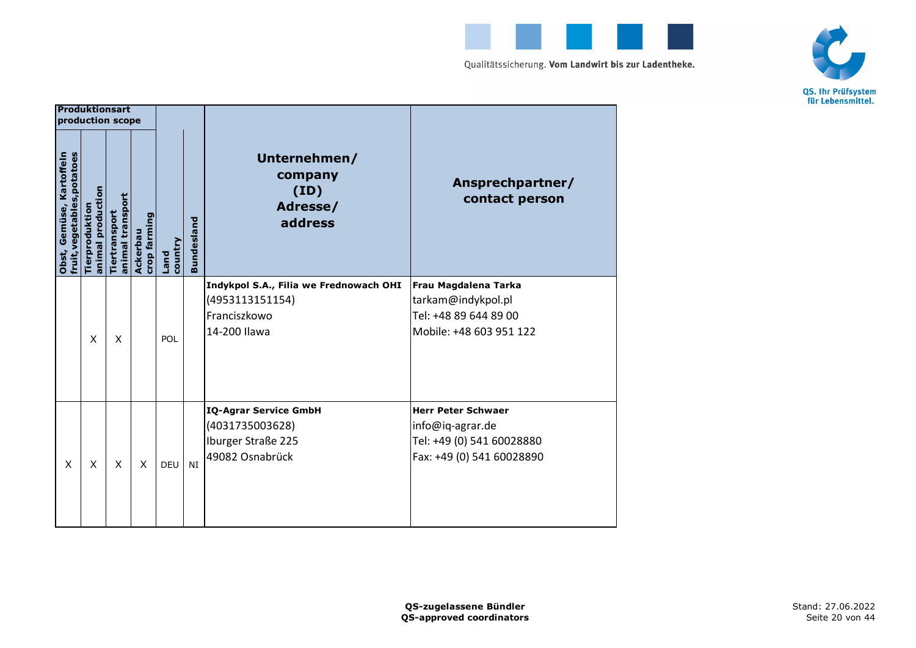



|                                                         | <b>Produktionsart</b><br>production scope |                                   |                          |                 |                   |                                                                                           |                                                                                                         |
|---------------------------------------------------------|-------------------------------------------|-----------------------------------|--------------------------|-----------------|-------------------|-------------------------------------------------------------------------------------------|---------------------------------------------------------------------------------------------------------|
| fruit, vegetables, potatoes<br>Obst, Gemüse, Kartoffeln | animal production<br>Tierproduktio        | animal transport<br>Tiertransport | crop farming<br>Ackerbau | country<br>Land | <b>Bundesland</b> | Unternehmen/<br>company<br>(ID)<br>Adresse/<br>address                                    | Ansprechpartner/<br>contact person                                                                      |
|                                                         | X                                         | X                                 |                          | POL             |                   | Indykpol S.A., Filia we Frednowach OHI<br>(4953113151154)<br>Franciszkowo<br>14-200 Ilawa | Frau Magdalena Tarka<br>tarkam@indykpol.pl<br>Tel: +48 89 644 89 00<br>Mobile: +48 603 951 122          |
| X                                                       | X                                         | X                                 | X                        | <b>DEU</b>      | <b>NI</b>         | <b>IQ-Agrar Service GmbH</b><br>(4031735003628)<br>Iburger Straße 225<br>49082 Osnabrück  | <b>Herr Peter Schwaer</b><br>info@iq-agrar.de<br>Tel: +49 (0) 541 60028880<br>Fax: +49 (0) 541 60028890 |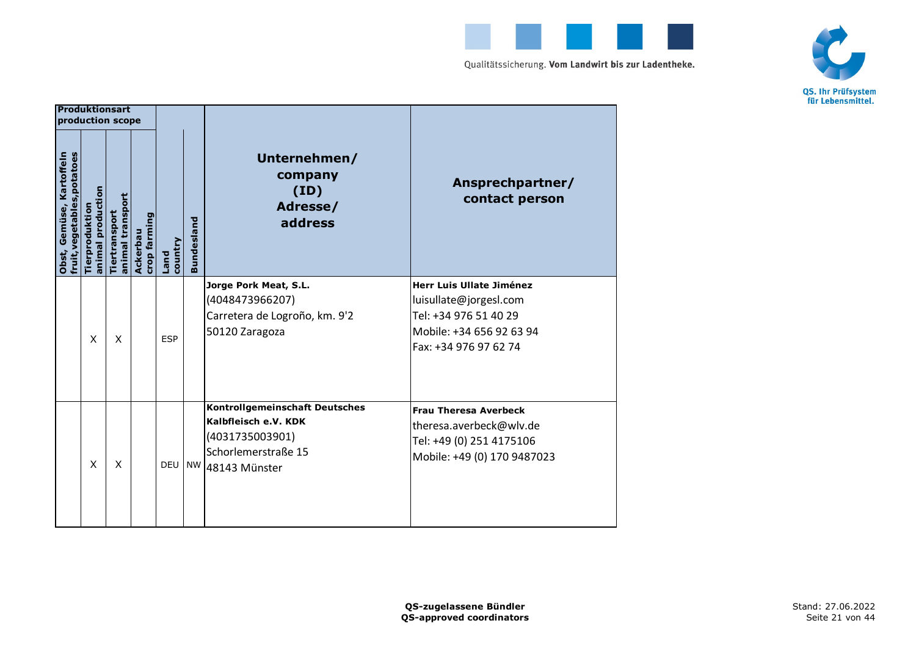



|                                                            | <b>Produktionsart</b><br>production scope |                                   |                          |                 |                   |                                                                                                                          |                                                                                                                                  |
|------------------------------------------------------------|-------------------------------------------|-----------------------------------|--------------------------|-----------------|-------------------|--------------------------------------------------------------------------------------------------------------------------|----------------------------------------------------------------------------------------------------------------------------------|
| fruit, vegetables, potatoes<br>Gemüse, Kartoffeln<br>Obst, | animal production<br>Tierproduktio        | animal transport<br>Tiertransport | crop farming<br>Ackerbau | country<br>Land | <b>Bundesland</b> | Unternehmen/<br>company<br>(ID)<br>Adresse/<br>address                                                                   | Ansprechpartner/<br>contact person                                                                                               |
|                                                            | X                                         | X                                 |                          | <b>ESP</b>      |                   | Jorge Pork Meat, S.L.<br>(4048473966207)<br>Carretera de Logroño, km. 9'2<br>50120 Zaragoza                              | Herr Luis Ullate Jiménez<br>luisullate@jorgesl.com<br>Tel: +34 976 51 40 29<br>Mobile: +34 656 92 63 94<br>Fax: +34 976 97 62 74 |
|                                                            | X                                         | X                                 |                          | DEU NW          |                   | <b>Kontrollgemeinschaft Deutsches</b><br>Kalbfleisch e.V. KDK<br>(4031735003901)<br>Schorlemerstraße 15<br>48143 Münster | <b>Frau Theresa Averbeck</b><br>theresa.averbeck@wlv.de<br>Tel: +49 (0) 251 4175106<br>Mobile: +49 (0) 170 9487023               |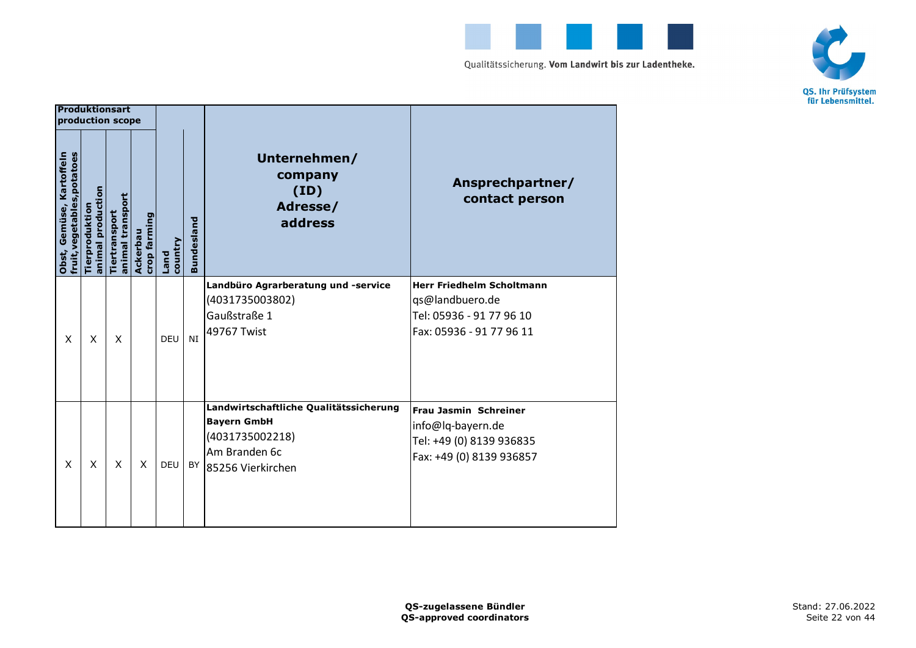



| <b>Produktionsart</b><br>production scope               |                                    |                                   |                          |                 |                   |                                                                                                                                     |                                                                                                             |
|---------------------------------------------------------|------------------------------------|-----------------------------------|--------------------------|-----------------|-------------------|-------------------------------------------------------------------------------------------------------------------------------------|-------------------------------------------------------------------------------------------------------------|
| fruit, vegetables, potatoes<br>Obst, Gemüse, Kartoffeln | animal production<br>Tierproduktio | animal transport<br>Tiertransport | crop farming<br>Ackerbau | country<br>Land | <b>Bundesland</b> | Unternehmen/<br>company<br>(ID)<br>Adresse/<br>address                                                                              | Ansprechpartner/<br>contact person                                                                          |
| X                                                       | X                                  | X                                 |                          | DEU             | NI                | Landbüro Agrarberatung und -service<br>(4031735003802)<br>Gaußstraße 1<br>49767 Twist                                               | <b>Herr Friedhelm Scholtmann</b><br>qs@landbuero.de<br>Tel: 05936 - 91 77 96 10<br>Fax: 05936 - 91 77 96 11 |
| X                                                       | X                                  | X                                 | X                        | <b>DEU</b>      |                   | Landwirtschaftliche Qualitätssicherung<br><b>Bayern GmbH</b><br>(4031735002218)<br>Am Branden 6c<br><sup>BY</sup> 85256 Vierkirchen | Frau Jasmin Schreiner<br>info@lq-bayern.de<br>Tel: +49 (0) 8139 936835<br>Fax: +49 (0) 8139 936857          |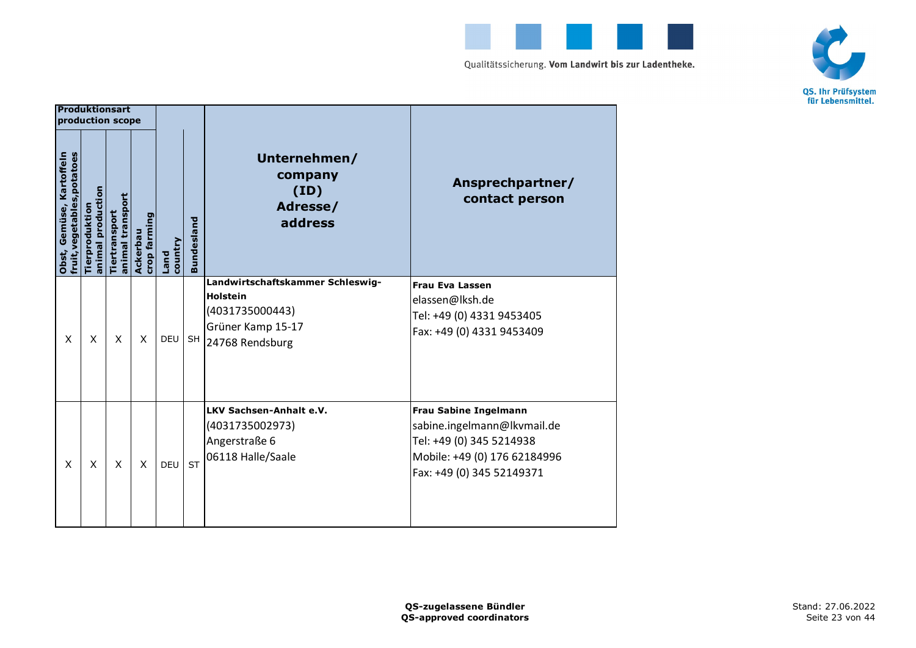



|                                                         | <b>Produktionsart</b><br>production scope |                                   |                          |                        |                   |                                                                                                                |                                                                                                                                                      |
|---------------------------------------------------------|-------------------------------------------|-----------------------------------|--------------------------|------------------------|-------------------|----------------------------------------------------------------------------------------------------------------|------------------------------------------------------------------------------------------------------------------------------------------------------|
| fruit, vegetables, potatoes<br>Obst, Gemüse, Kartoffeln | animal production<br>Tierproduktio        | animal transport<br>Tiertransport | crop farming<br>Ackerbau | country<br><b>Land</b> | <b>Bundesland</b> | Unternehmen/<br>company<br>(ID)<br>Adresse/<br>address                                                         | Ansprechpartner/<br>contact person                                                                                                                   |
| X                                                       | X                                         | X                                 | X                        | <b>DEU</b>             | <b>SH</b>         | Landwirtschaftskammer Schleswig-<br><b>Holstein</b><br>(4031735000443)<br>Grüner Kamp 15-17<br>24768 Rendsburg | <b>Frau Eva Lassen</b><br>elassen@lksh.de<br>Tel: +49 (0) 4331 9453405<br>Fax: +49 (0) 4331 9453409                                                  |
| X                                                       | X                                         | X                                 | X                        | <b>DEU</b>             | <b>ST</b>         | LKV Sachsen-Anhalt e.V.<br>(4031735002973)<br>Angerstraße 6<br>06118 Halle/Saale                               | <b>Frau Sabine Ingelmann</b><br>sabine.ingelmann@lkvmail.de<br>Tel: +49 (0) 345 5214938<br>Mobile: +49 (0) 176 62184996<br>Fax: +49 (0) 345 52149371 |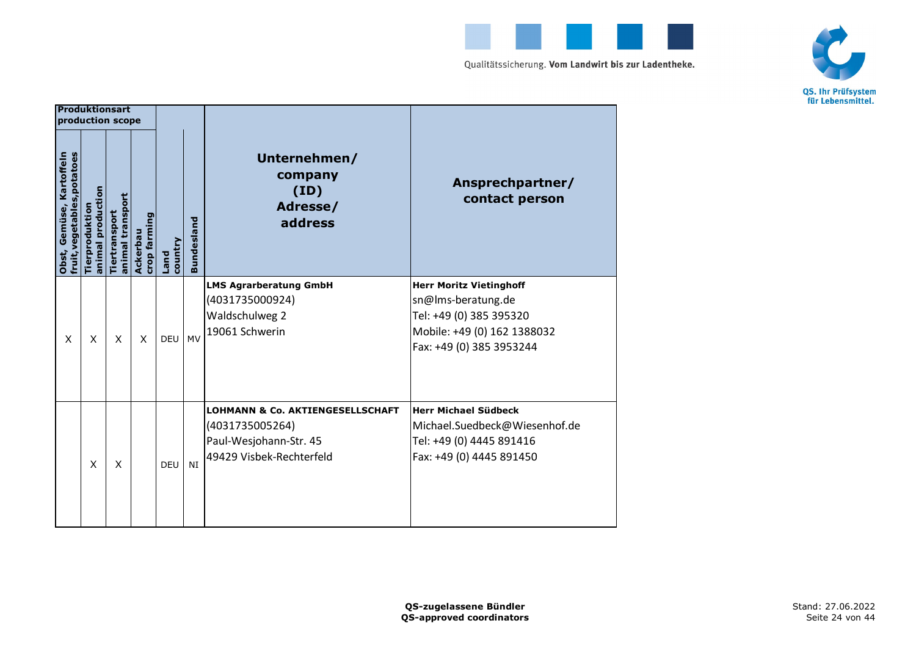



|                                                               | <b>Produktionsart</b><br>production scope |                                   |                          |                 |                   |                                                                                                                      |                                                                                                                                            |
|---------------------------------------------------------------|-------------------------------------------|-----------------------------------|--------------------------|-----------------|-------------------|----------------------------------------------------------------------------------------------------------------------|--------------------------------------------------------------------------------------------------------------------------------------------|
| fruit, vegetables, potatoes<br>Kartoffeln<br>Gemüse,<br>Obst, | animal production<br>Tierproduktion       | animal transport<br>Tiertransport | crop farming<br>Ackerbau | country<br>Land | <b>Bundesland</b> | Unternehmen/<br>company<br>(ID)<br>Adresse/<br>address                                                               | Ansprechpartner/<br>contact person                                                                                                         |
| X                                                             | X                                         | X                                 | X                        | <b>DEU</b>      | <b>MV</b>         | <b>LMS Agrarberatung GmbH</b><br>(4031735000924)<br>Waldschulweg 2<br>19061 Schwerin                                 | <b>Herr Moritz Vietinghoff</b><br>sn@lms-beratung.de<br>Tel: +49 (0) 385 395320<br>Mobile: +49 (0) 162 1388032<br>Fax: +49 (0) 385 3953244 |
|                                                               | X                                         | X                                 |                          | <b>DEU</b>      | NI                | <b>LOHMANN &amp; Co. AKTIENGESELLSCHAFT</b><br>(4031735005264)<br>Paul-Wesjohann-Str. 45<br>49429 Visbek-Rechterfeld | <b>Herr Michael Südbeck</b><br>Michael.Suedbeck@Wiesenhof.de<br>Tel: +49 (0) 4445 891416<br>Fax: +49 (0) 4445 891450                       |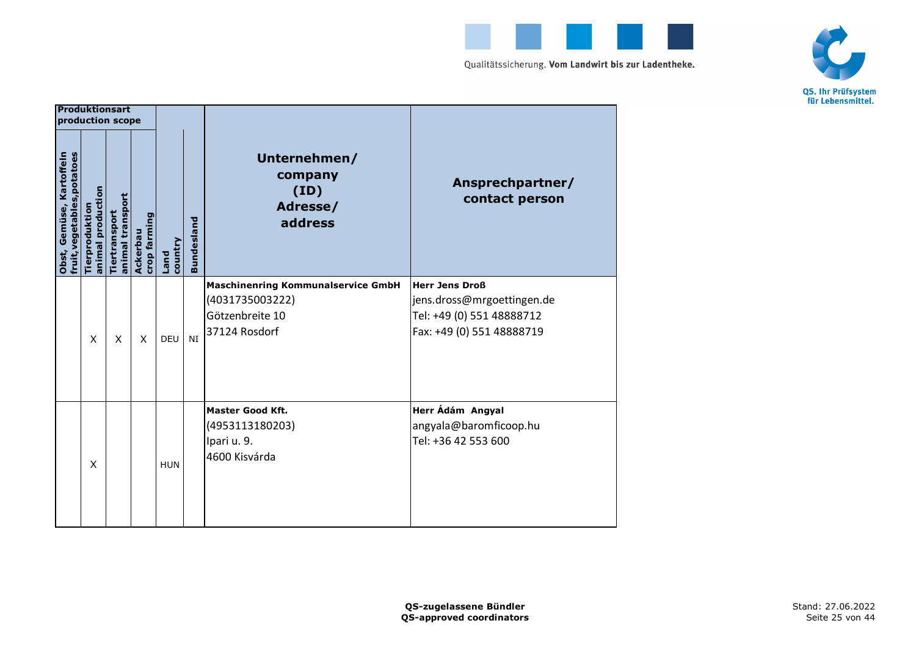



|                                                         | <b>Produktionsart</b><br>production scope |                                   |                          |                        |                   |                                                                                                  |                                                                                                               |
|---------------------------------------------------------|-------------------------------------------|-----------------------------------|--------------------------|------------------------|-------------------|--------------------------------------------------------------------------------------------------|---------------------------------------------------------------------------------------------------------------|
| fruit, vegetables, potatoes<br>Obst, Gemüse, Kartoffeln | animal production<br>Tierproduktion       | animal transport<br>Tiertransport | crop farming<br>Ackerbau | country<br><b>Land</b> | <b>Bundesland</b> | Unternehmen/<br>company<br>(ID)<br>Adresse/<br>address                                           | Ansprechpartner/<br>contact person                                                                            |
|                                                         | X                                         | X                                 | X                        | <b>DEU</b>             | NI                | <b>Maschinenring Kommunalservice GmbH</b><br>(4031735003222)<br>Götzenbreite 10<br>37124 Rosdorf | <b>Herr Jens Droß</b><br>jens.dross@mrgoettingen.de<br>Tel: +49 (0) 551 48888712<br>Fax: +49 (0) 551 48888719 |
|                                                         | X                                         |                                   |                          | <b>HUN</b>             |                   | <b>Master Good Kft.</b><br>(4953113180203)<br>Ipari u. 9.<br>4600 Kisvárda                       | Herr Ádám Angyal<br>angyala@baromficoop.hu<br>Tel: +36 42 553 600                                             |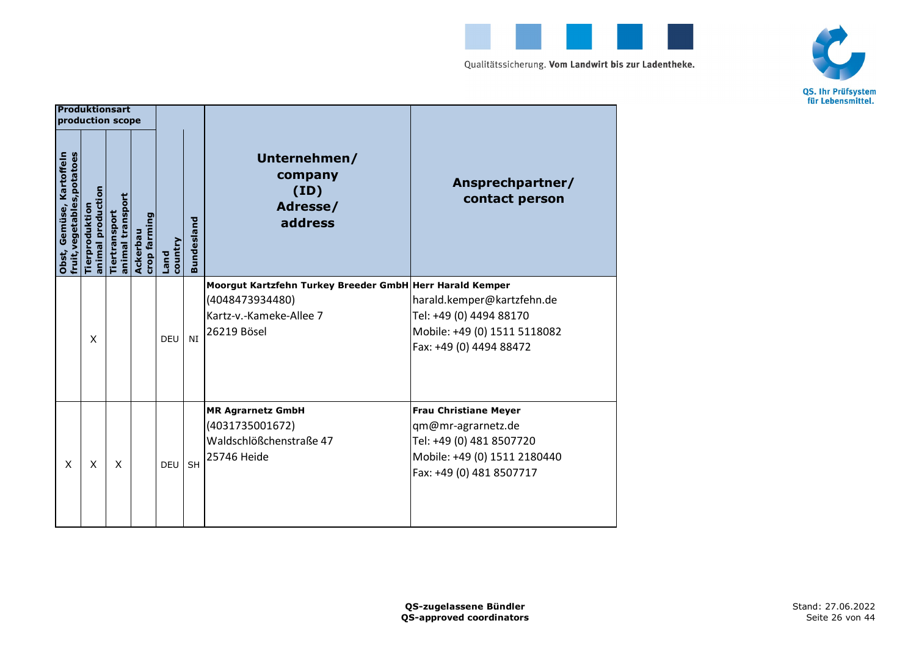



|                                                         | <b>Produktionsart</b><br>production scope |                                   |                          |                        |                   |                                                                                                                       |                                                                                                                                            |
|---------------------------------------------------------|-------------------------------------------|-----------------------------------|--------------------------|------------------------|-------------------|-----------------------------------------------------------------------------------------------------------------------|--------------------------------------------------------------------------------------------------------------------------------------------|
| fruit, vegetables, potatoes<br>Obst, Gemüse, Kartoffeln | animal production<br>Tierproduktio        | animal transport<br>Tiertransport | crop farming<br>Ackerbau | country<br><b>Land</b> | <b>Bundesland</b> | Unternehmen/<br>company<br>(ID)<br>Adresse/<br>address                                                                | Ansprechpartner/<br>contact person                                                                                                         |
|                                                         | X                                         |                                   |                          | <b>DEU</b>             | NI                | Moorgut Kartzfehn Turkey Breeder GmbH Herr Harald Kemper<br>(4048473934480)<br>Kartz-v.-Kameke-Allee 7<br>26219 Bösel | harald.kemper@kartzfehn.de<br>Tel: +49 (0) 4494 88170<br>Mobile: +49 (0) 1511 5118082<br>Fax: +49 (0) 4494 88472                           |
| X                                                       | X                                         | X                                 |                          | DEU                    | SH                | <b>MR Agrarnetz GmbH</b><br>(4031735001672)<br>Waldschlößchenstraße 47<br>25746 Heide                                 | <b>Frau Christiane Meyer</b><br>qm@mr-agrarnetz.de<br>Tel: +49 (0) 481 8507720<br>Mobile: +49 (0) 1511 2180440<br>Fax: +49 (0) 481 8507717 |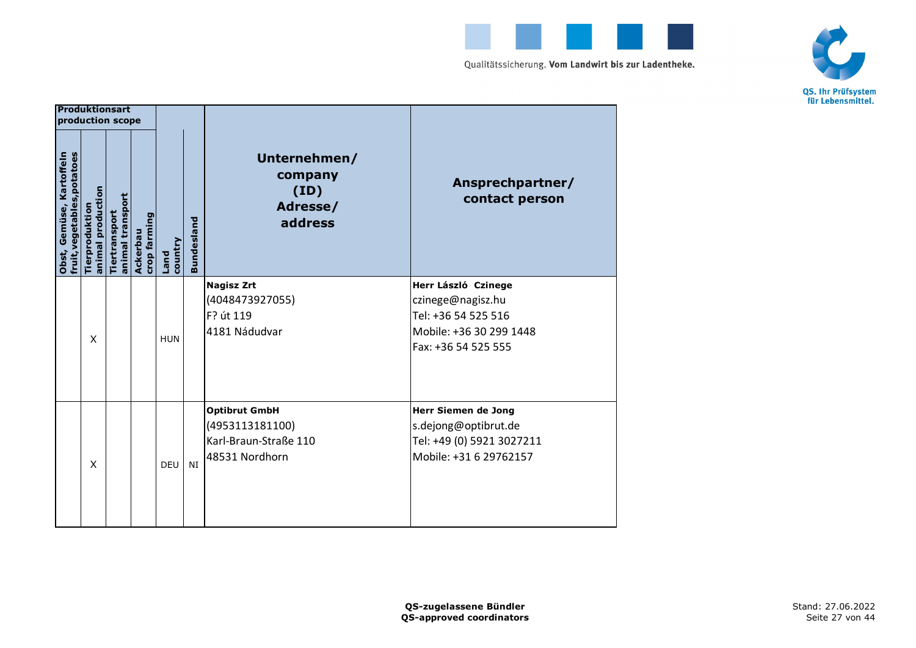



| <b>Produktionsart</b><br>production scope               |                                    |                                   |                          |                 |                   |                                                                                    |                                                                                                                   |
|---------------------------------------------------------|------------------------------------|-----------------------------------|--------------------------|-----------------|-------------------|------------------------------------------------------------------------------------|-------------------------------------------------------------------------------------------------------------------|
| fruit, vegetables, potatoes<br>Obst, Gemüse, Kartoffeln | animal production<br>Tierproduktio | animal transport<br>Tiertransport | crop farming<br>Ackerbau | country<br>Land | <b>Bundesland</b> | Unternehmen/<br>company<br>(ID)<br>Adresse/<br>address                             | Ansprechpartner/<br>contact person                                                                                |
|                                                         | X                                  |                                   |                          | <b>HUN</b>      |                   | <b>Nagisz Zrt</b><br>(4048473927055)<br>F? út 119<br>4181 Nádudvar                 | Herr László Czinege<br>czinege@nagisz.hu<br>Tel: +36 54 525 516<br>Mobile: +36 30 299 1448<br>Fax: +36 54 525 555 |
|                                                         | X                                  |                                   |                          | <b>DEU</b>      | NI                | <b>Optibrut GmbH</b><br>(4953113181100)<br>Karl-Braun-Straße 110<br>48531 Nordhorn | <b>Herr Siemen de Jong</b><br>s.dejong@optibrut.de<br>Tel: +49 (0) 5921 3027211<br>Mobile: +31 6 29762157         |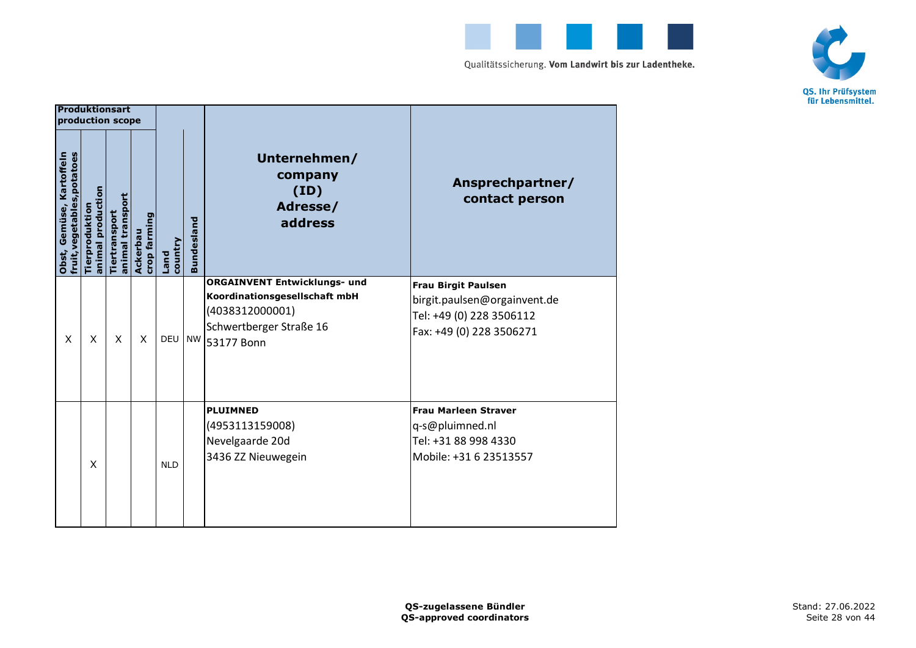



| <b>Produktionsart</b><br>production scope               |                                     |                                   |                          |                 |                   |                                                                                                                                     |                                                                                                                    |
|---------------------------------------------------------|-------------------------------------|-----------------------------------|--------------------------|-----------------|-------------------|-------------------------------------------------------------------------------------------------------------------------------------|--------------------------------------------------------------------------------------------------------------------|
| fruit, vegetables, potatoes<br>Obst, Gemüse, Kartoffeln | animal production<br>Tierproduktion | animal transport<br>Tiertransport | crop farming<br>Ackerbau | country<br>Land | <b>Bundesland</b> | Unternehmen/<br>company<br>(ID)<br>Adresse/<br>address                                                                              | Ansprechpartner/<br>contact person                                                                                 |
| X                                                       | X                                   | X                                 | X                        | <b>DEU</b>      |                   | <b>ORGAINVENT Entwicklungs- und</b><br>Koordinationsgesellschaft mbH<br>(4038312000001)<br>Schwertberger Straße 16<br>NW 53177 Bonn | <b>Frau Birgit Paulsen</b><br>birgit.paulsen@orgainvent.de<br>Tel: +49 (0) 228 3506112<br>Fax: +49 (0) 228 3506271 |
|                                                         | X                                   |                                   |                          | <b>NLD</b>      |                   | <b>PLUIMNED</b><br>(4953113159008)<br>Nevelgaarde 20d<br>3436 ZZ Nieuwegein                                                         | <b>Frau Marleen Straver</b><br>q-s@pluimned.nl<br>Tel: +31 88 998 4330<br>Mobile: +31 6 23513557                   |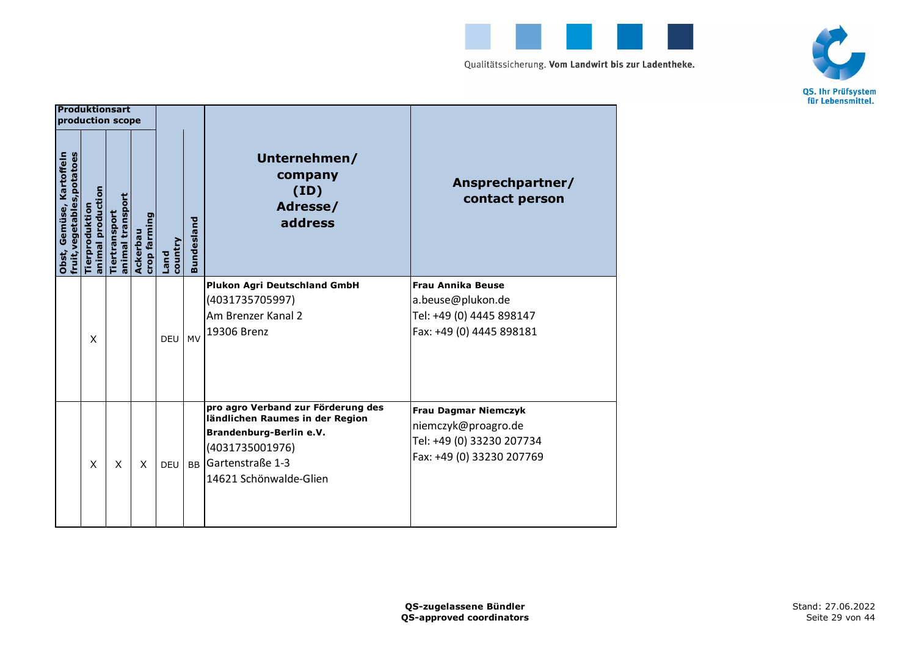



|                                                         | Produktionsart<br>production scope  |                                   |                          |                 |                   |                                                                                                                                                                   |                                                                                                              |
|---------------------------------------------------------|-------------------------------------|-----------------------------------|--------------------------|-----------------|-------------------|-------------------------------------------------------------------------------------------------------------------------------------------------------------------|--------------------------------------------------------------------------------------------------------------|
| fruit, vegetables, potatoes<br>Obst, Gemüse, Kartoffeln | animal production<br>Tierproduktion | animal transport<br>Tiertransport | crop farming<br>Ackerbau | country<br>Land | <b>Bundesland</b> | Unternehmen/<br>company<br>(ID)<br>Adresse/<br>address                                                                                                            | Ansprechpartner/<br>contact person                                                                           |
|                                                         | X                                   |                                   |                          | DEU             | <b>MV</b>         | <b>Plukon Agri Deutschland GmbH</b><br>(4031735705997)<br>Am Brenzer Kanal 2<br>19306 Brenz                                                                       | <b>Frau Annika Beuse</b><br>a.beuse@plukon.de<br>Tel: +49 (0) 4445 898147<br>Fax: +49 (0) 4445 898181        |
|                                                         | X                                   | X                                 | X                        | <b>DEU</b>      | <b>BB</b>         | pro agro Verband zur Förderung des<br>ländlichen Raumes in der Region<br>Brandenburg-Berlin e.V.<br>(4031735001976)<br>Gartenstraße 1-3<br>14621 Schönwalde-Glien | <b>Frau Dagmar Niemczyk</b><br>niemczyk@proagro.de<br>Tel: +49 (0) 33230 207734<br>Fax: +49 (0) 33230 207769 |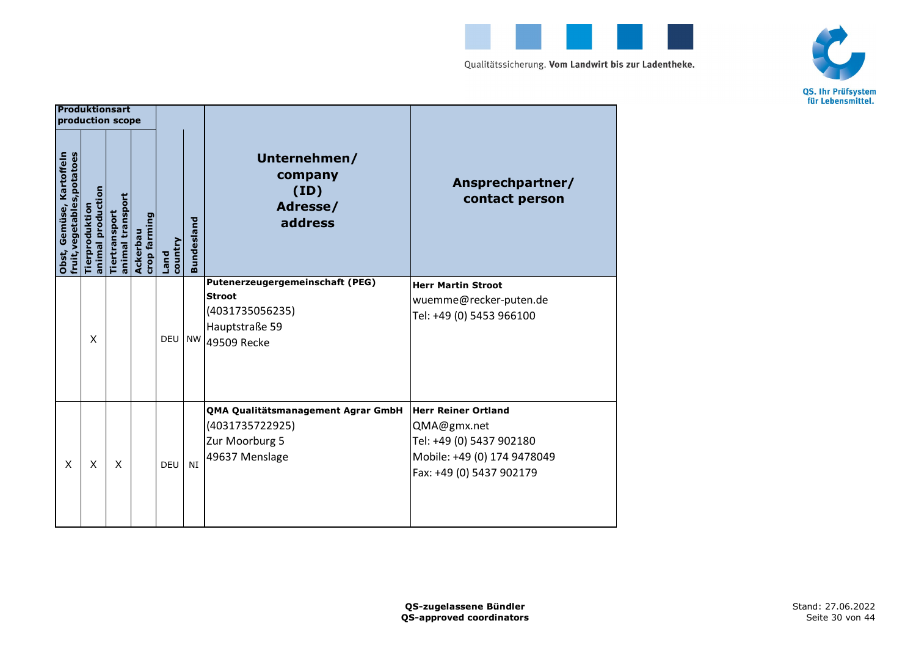



|                                                         | <b>Produktionsart</b><br>production scope |                                   |                          |                        |                   |                                                                                                      |                                                                                                                                  |
|---------------------------------------------------------|-------------------------------------------|-----------------------------------|--------------------------|------------------------|-------------------|------------------------------------------------------------------------------------------------------|----------------------------------------------------------------------------------------------------------------------------------|
| fruit, vegetables, potatoes<br>Obst, Gemüse, Kartoffeln | animal production<br>Tierproduktio        | animal transport<br>Tiertransport | crop farming<br>Ackerbau | country<br><b>Land</b> | <b>Bundesland</b> | Unternehmen/<br>company<br>(ID)<br>Adresse/<br>address                                               | Ansprechpartner/<br>contact person                                                                                               |
|                                                         | X                                         |                                   |                          | <b>DEU</b>             | <b>NW</b>         | Putenerzeugergemeinschaft (PEG)<br><b>Stroot</b><br>(4031735056235)<br>Hauptstraße 59<br>49509 Recke | <b>Herr Martin Stroot</b><br>wuemme@recker-puten.de<br>Tel: +49 (0) 5453 966100                                                  |
| X                                                       | X                                         | X                                 |                          | DEU                    | NI                | QMA Qualitätsmanagement Agrar GmbH<br>(4031735722925)<br>Zur Moorburg 5<br>49637 Menslage            | <b>Herr Reiner Ortland</b><br>QMA@gmx.net<br>Tel: +49 (0) 5437 902180<br>Mobile: +49 (0) 174 9478049<br>Fax: +49 (0) 5437 902179 |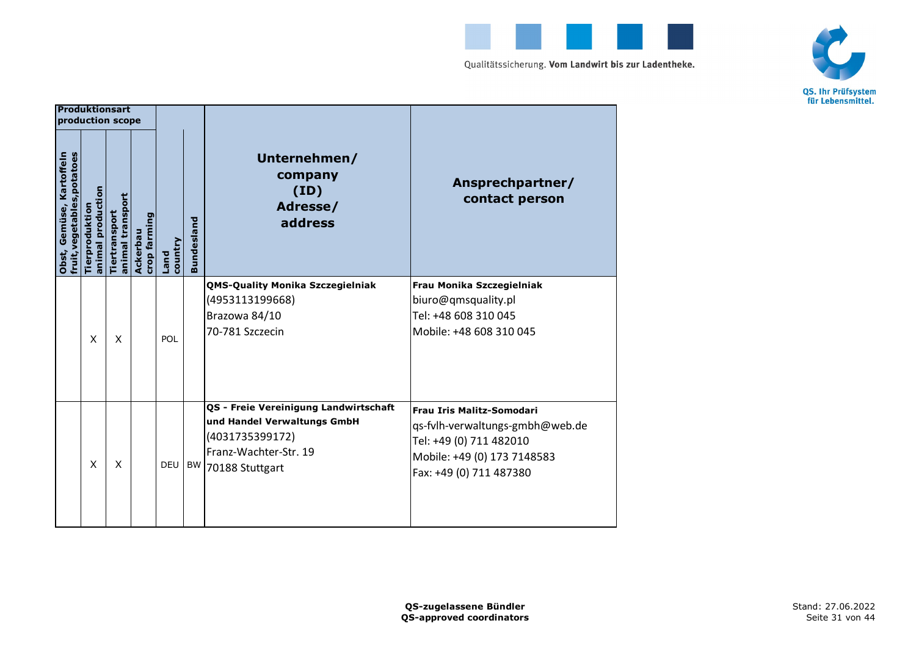



|                                                         | Produktionsart<br>production scope  |                                   |                          |                        |                   |                                                                                                                                     |                                                                                                                                                          |
|---------------------------------------------------------|-------------------------------------|-----------------------------------|--------------------------|------------------------|-------------------|-------------------------------------------------------------------------------------------------------------------------------------|----------------------------------------------------------------------------------------------------------------------------------------------------------|
| fruit, vegetables, potatoes<br>Obst, Gemüse, Kartoffeln | animal production<br>Tierproduktion | animal transport<br>Tiertransport | crop farming<br>Ackerbau | country<br><b>Land</b> | <b>Bundesland</b> | Unternehmen/<br>company<br>(ID)<br>Adresse/<br>address                                                                              | Ansprechpartner/<br>contact person                                                                                                                       |
|                                                         | X                                   | X                                 |                          | POL                    |                   | <b>QMS-Quality Monika Szczegielniak</b><br>(4953113199668)<br>Brazowa 84/10<br>70-781 Szczecin                                      | Frau Monika Szczegielniak<br>biuro@qmsquality.pl<br>Tel: +48 608 310 045<br>Mobile: +48 608 310 045                                                      |
|                                                         | X                                   | X                                 |                          | DEU                    | BW                | QS - Freie Vereinigung Landwirtschaft<br>und Handel Verwaltungs GmbH<br>(4031735399172)<br>Franz-Wachter-Str. 19<br>70188 Stuttgart | <b>Frau Iris Malitz-Somodari</b><br>gs-fylh-verwaltungs-gmbh@web.de<br>Tel: +49 (0) 711 482010<br>Mobile: +49 (0) 173 7148583<br>Fax: +49 (0) 711 487380 |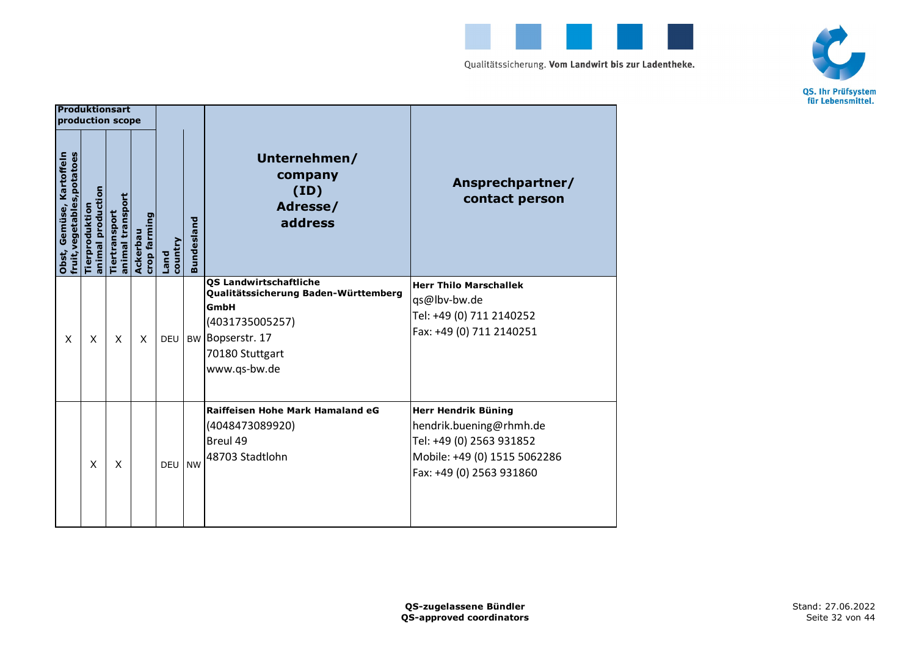



|                                                         | <b>Produktionsart</b><br>production scope |                                   |                          |                 |                   |                                                                                                                                                      |                                                                                                                                        |
|---------------------------------------------------------|-------------------------------------------|-----------------------------------|--------------------------|-----------------|-------------------|------------------------------------------------------------------------------------------------------------------------------------------------------|----------------------------------------------------------------------------------------------------------------------------------------|
| fruit, vegetables, potatoes<br>Obst, Gemüse, Kartoffeln | animal production<br>Tierproduktio        | animal transport<br>Tiertransport | crop farming<br>Ackerbau | country<br>Land | <b>Bundesland</b> | Unternehmen/<br>company<br>(ID)<br>Adresse/<br>address                                                                                               | Ansprechpartner/<br>contact person                                                                                                     |
| X                                                       | X                                         | X                                 | X                        | DEU             | <b>BW</b>         | <b>QS Landwirtschaftliche</b><br>Qualitätssicherung Baden-Württemberg<br>GmbH<br>(4031735005257)<br>Bopserstr. 17<br>70180 Stuttgart<br>www.qs-bw.de | <b>Herr Thilo Marschallek</b><br>qs@lbv-bw.de<br>Tel: +49 (0) 711 2140252<br>Fax: +49 (0) 711 2140251                                  |
|                                                         | X                                         | X                                 |                          | <b>DEU</b>      | <b>NW</b>         | Raiffeisen Hohe Mark Hamaland eG<br>(4048473089920)<br>Breul 49<br>48703 Stadtlohn                                                                   | Herr Hendrik Büning<br>hendrik.buening@rhmh.de<br>Tel: +49 (0) 2563 931852<br>Mobile: +49 (0) 1515 5062286<br>Fax: +49 (0) 2563 931860 |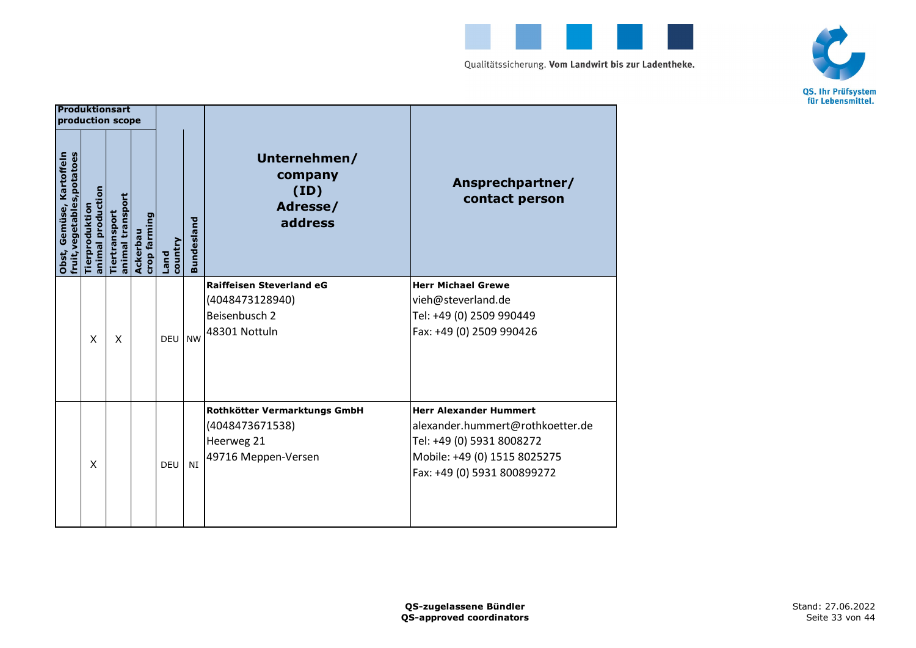



|                                                         | <b>Produktionsart</b><br>production scope |                                   |                          |                 |                   |                                                                                      |                                                                                                                                                               |
|---------------------------------------------------------|-------------------------------------------|-----------------------------------|--------------------------|-----------------|-------------------|--------------------------------------------------------------------------------------|---------------------------------------------------------------------------------------------------------------------------------------------------------------|
| fruit, vegetables, potatoes<br>Obst, Gemüse, Kartoffeln | animal production<br>Tierproduktio        | animal transport<br>Tiertransport | crop farming<br>Ackerbau | country<br>Land | <b>Bundesland</b> | Unternehmen/<br>company<br>(ID)<br>Adresse/<br>address                               | Ansprechpartner/<br>contact person                                                                                                                            |
|                                                         | X                                         | X                                 |                          | <b>DEU</b>      | <b>NW</b>         | <b>Raiffeisen Steverland eG</b><br>(4048473128940)<br>Beisenbusch 2<br>48301 Nottuln | <b>Herr Michael Grewe</b><br>vieh@steverland.de<br>Tel: +49 (0) 2509 990449<br>Fax: +49 (0) 2509 990426                                                       |
|                                                         | X                                         |                                   |                          | DEU             | NI                | Rothkötter Vermarktungs GmbH<br>(4048473671538)<br>Heerweg 21<br>49716 Meppen-Versen | <b>Herr Alexander Hummert</b><br>alexander.hummert@rothkoetter.de<br>Tel: +49 (0) 5931 8008272<br>Mobile: +49 (0) 1515 8025275<br>Fax: +49 (0) 5931 800899272 |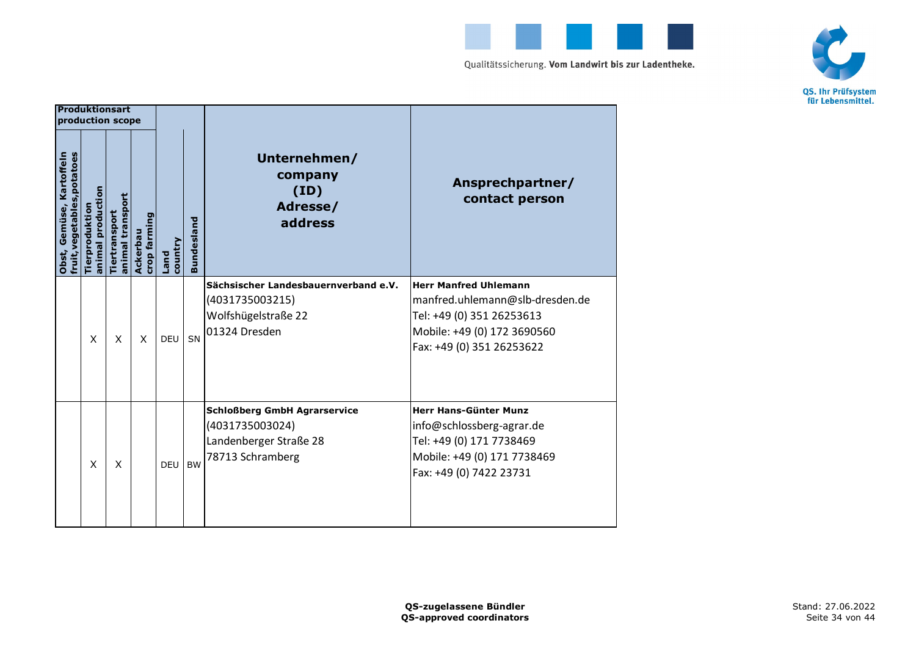



|                                                         | <b>Produktionsart</b><br>production scope |                                   |                          |                 |                   |                                                                                                      |                                                                                                                                                          |
|---------------------------------------------------------|-------------------------------------------|-----------------------------------|--------------------------|-----------------|-------------------|------------------------------------------------------------------------------------------------------|----------------------------------------------------------------------------------------------------------------------------------------------------------|
| fruit, vegetables, potatoes<br>Obst, Gemüse, Kartoffeln | animal production<br>Tierproduktio        | animal transport<br>Tiertransport | crop farming<br>Ackerbau | country<br>Land | <b>Bundesland</b> | Unternehmen/<br>company<br>(ID)<br>Adresse/<br>address                                               | Ansprechpartner/<br>contact person                                                                                                                       |
|                                                         | X                                         | X                                 | X                        | DEU             | SN                | Sächsischer Landesbauernverband e.V.<br>(4031735003215)<br>Wolfshügelstraße 22<br>01324 Dresden      | <b>Herr Manfred Uhlemann</b><br>manfred.uhlemann@slb-dresden.de<br>Tel: +49 (0) 351 26253613<br>Mobile: +49 (0) 172 3690560<br>Fax: +49 (0) 351 26253622 |
|                                                         | X                                         | X                                 |                          | <b>DEU</b>      | <b>BW</b>         | <b>Schloßberg GmbH Agrarservice</b><br>(4031735003024)<br>Landenberger Straße 28<br>78713 Schramberg | Herr Hans-Günter Munz<br>info@schlossberg-agrar.de<br>Tel: +49 (0) 171 7738469<br>Mobile: +49 (0) 171 7738469<br>Fax: +49 (0) 7422 23731                 |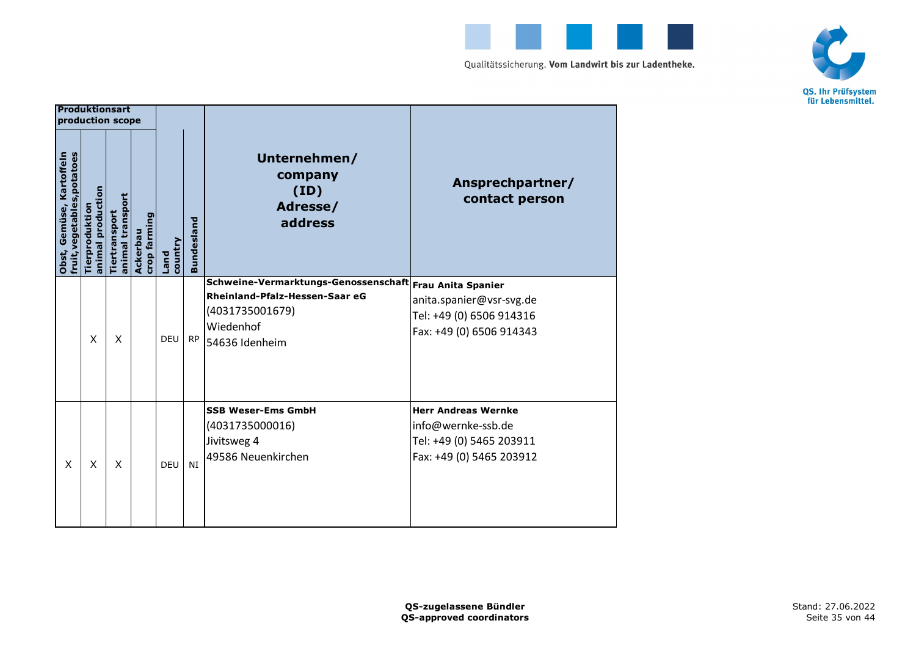



|                                                         | <b>Produktionsart</b><br>production scope |                                   |                          |                        |                   |                                                                                                                          |                                                                                                               |
|---------------------------------------------------------|-------------------------------------------|-----------------------------------|--------------------------|------------------------|-------------------|--------------------------------------------------------------------------------------------------------------------------|---------------------------------------------------------------------------------------------------------------|
| fruit, vegetables, potatoes<br>Obst, Gemüse, Kartoffeln | animal production<br>Tierproduktio        | animal transport<br>Tiertransport | crop farming<br>Ackerbau | country<br><b>Land</b> | <b>Bundesland</b> | Unternehmen/<br>company<br>(ID)<br>Adresse/<br>address                                                                   | Ansprechpartner/<br>contact person                                                                            |
|                                                         | X                                         | X                                 |                          | DEU                    | <b>RP</b>         | Schweine-Vermarktungs-Genossenschaft<br>Rheinland-Pfalz-Hessen-Saar eG<br>(4031735001679)<br>Wiedenhof<br>54636 Idenheim | <b>Frau Anita Spanier</b><br>anita.spanier@vsr-svg.de<br>Tel: +49 (0) 6506 914316<br>Fax: +49 (0) 6506 914343 |
| $\mathsf{x}$                                            | $\mathsf{x}$                              | X                                 |                          | DEU                    | NI                | <b>SSB Weser-Ems GmbH</b><br>(4031735000016)<br>Jivitsweg 4<br>49586 Neuenkirchen                                        | <b>Herr Andreas Wernke</b><br>info@wernke-ssb.de<br>Tel: +49 (0) 5465 203911<br>Fax: +49 (0) 5465 203912      |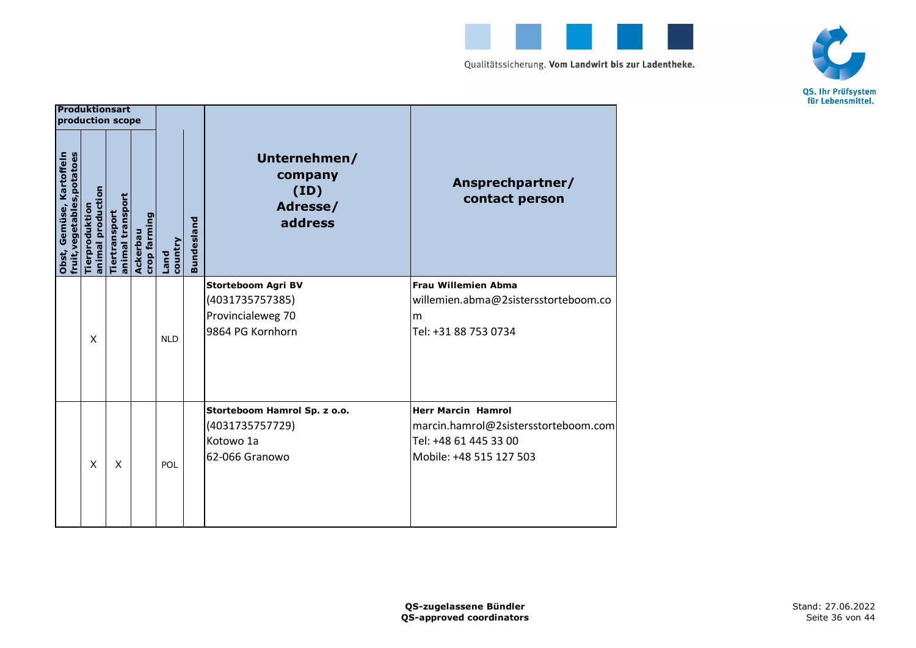



|                                                         | <b>Produktionsart</b><br>production scope |                                   |                          |                        |                   |                                                                                       |                                                                                                                       |
|---------------------------------------------------------|-------------------------------------------|-----------------------------------|--------------------------|------------------------|-------------------|---------------------------------------------------------------------------------------|-----------------------------------------------------------------------------------------------------------------------|
| fruit, vegetables, potatoes<br>Obst, Gemüse, Kartoffeln | animal production<br>Tierproduktio        | animal transport<br>Tiertransport | crop farming<br>Ackerbau | country<br><b>Land</b> | <b>Bundesland</b> | Unternehmen/<br>company<br>(ID)<br>Adresse/<br>address                                | Ansprechpartner/<br>contact person                                                                                    |
|                                                         | X                                         |                                   |                          | <b>NLD</b>             |                   | <b>Storteboom Agri BV</b><br>(4031735757385)<br>Provincialeweg 70<br>9864 PG Kornhorn | <b>Frau Willemien Abma</b><br>willemien.abma@2sistersstorteboom.co<br>m<br>Tel: +31 88 753 0734                       |
|                                                         | X                                         | X                                 |                          | POL                    |                   | Storteboom Hamrol Sp. z o.o.<br>(4031735757729)<br>Kotowo 1a<br>62-066 Granowo        | <b>Herr Marcin Hamrol</b><br>marcin.hamrol@2sistersstorteboom.com<br>Tel: +48 61 445 33 00<br>Mobile: +48 515 127 503 |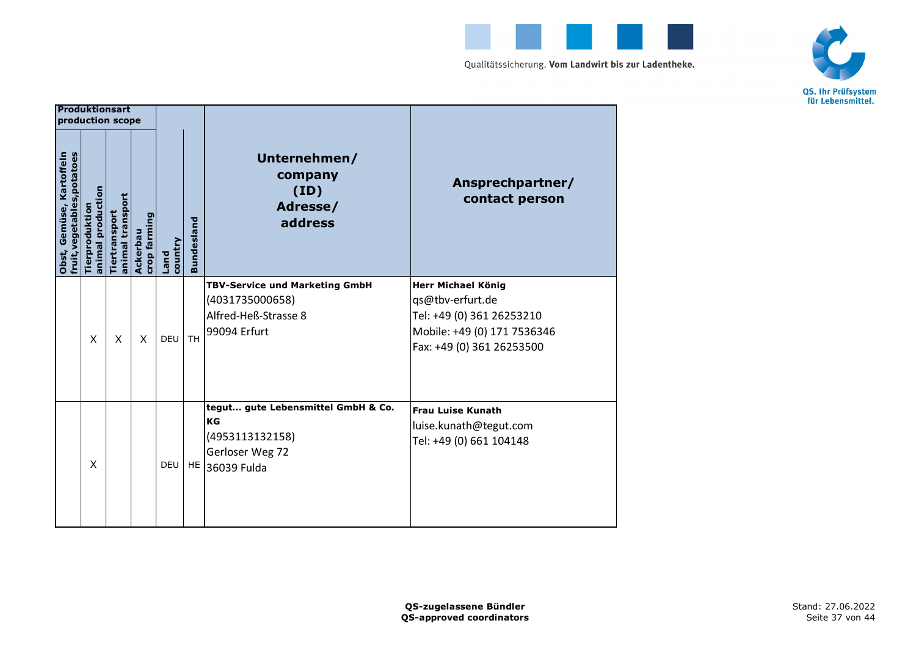



|                                                         | <b>Produktionsart</b><br>production scope |                                   |                          |                 |                   |                                                                                                  |                                                                                                                                 |
|---------------------------------------------------------|-------------------------------------------|-----------------------------------|--------------------------|-----------------|-------------------|--------------------------------------------------------------------------------------------------|---------------------------------------------------------------------------------------------------------------------------------|
| fruit, vegetables, potatoes<br>Obst, Gemüse, Kartoffeln | animal production<br>Tierproduktio        | animal transport<br>Tiertransport | crop farming<br>Ackerbau | country<br>Land | <b>Bundesland</b> | Unternehmen/<br>company<br>(ID)<br>Adresse/<br>address                                           | Ansprechpartner/<br>contact person                                                                                              |
|                                                         | X                                         | X                                 | X                        | DEU             | <b>TH</b>         | <b>TBV-Service und Marketing GmbH</b><br>(4031735000658)<br>Alfred-Heß-Strasse 8<br>99094 Erfurt | Herr Michael König<br>qs@tbv-erfurt.de<br>Tel: +49 (0) 361 26253210<br>Mobile: +49 (0) 171 7536346<br>Fax: +49 (0) 361 26253500 |
|                                                         | X                                         |                                   |                          | <b>DEU</b>      |                   | tegut gute Lebensmittel GmbH & Co.<br>KG<br>(4953113132158)<br>Gerloser Weg 72<br>HE 36039 Fulda | <b>Frau Luise Kunath</b><br>luise.kunath@tegut.com<br>Tel: +49 (0) 661 104148                                                   |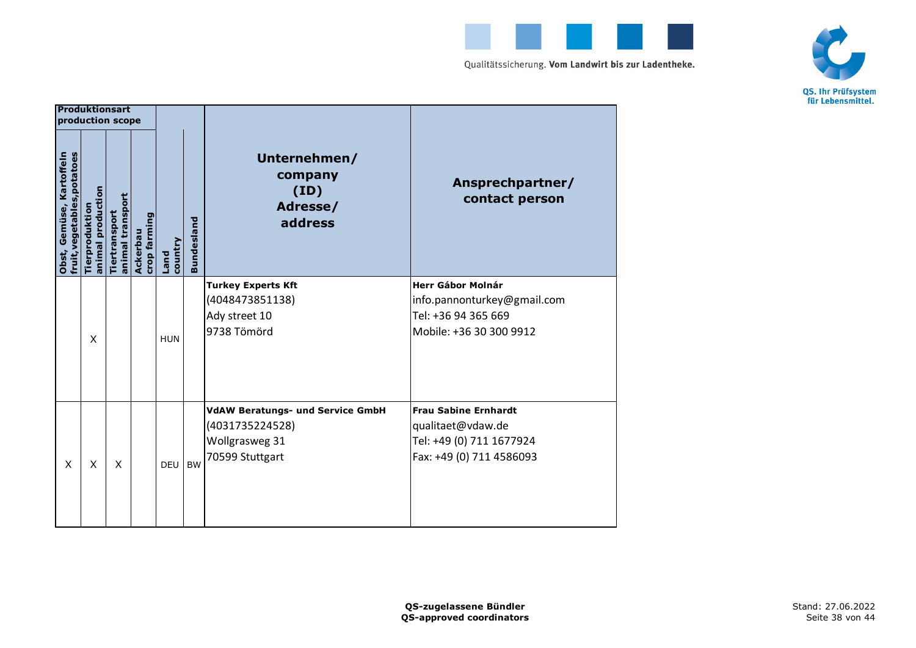



| <b>Produktionsart</b>                                 | production scope                   |                                   |                          |                 |                   |                                                                                                 |                                                                                                           |
|-------------------------------------------------------|------------------------------------|-----------------------------------|--------------------------|-----------------|-------------------|-------------------------------------------------------------------------------------------------|-----------------------------------------------------------------------------------------------------------|
| Obst, Gemüse, Kartoffeln<br>fruit,vegetables,potatoes | animal production<br>Tierproduktio | animal transport<br>Tiertransport | crop farming<br>Ackerbau | country<br>Land | <b>Bundesland</b> | Unternehmen/<br>company<br>(ID)<br>Adresse/<br>address                                          | Ansprechpartner/<br>contact person                                                                        |
|                                                       | X                                  |                                   |                          | <b>HUN</b>      |                   | <b>Turkey Experts Kft</b><br>(4048473851138)<br>Ady street 10<br>9738 Tömörd                    | <b>Herr Gábor Molnár</b><br>info.pannonturkey@gmail.com<br>Tel: +36 94 365 669<br>Mobile: +36 30 300 9912 |
| X                                                     | X                                  | X                                 |                          | <b>DEU</b>      | <b>BW</b>         | <b>VdAW Beratungs- und Service GmbH</b><br>(4031735224528)<br>Wollgrasweg 31<br>70599 Stuttgart | <b>Frau Sabine Ernhardt</b><br>qualitaet@vdaw.de<br>Tel: +49 (0) 711 1677924<br>Fax: +49 (0) 711 4586093  |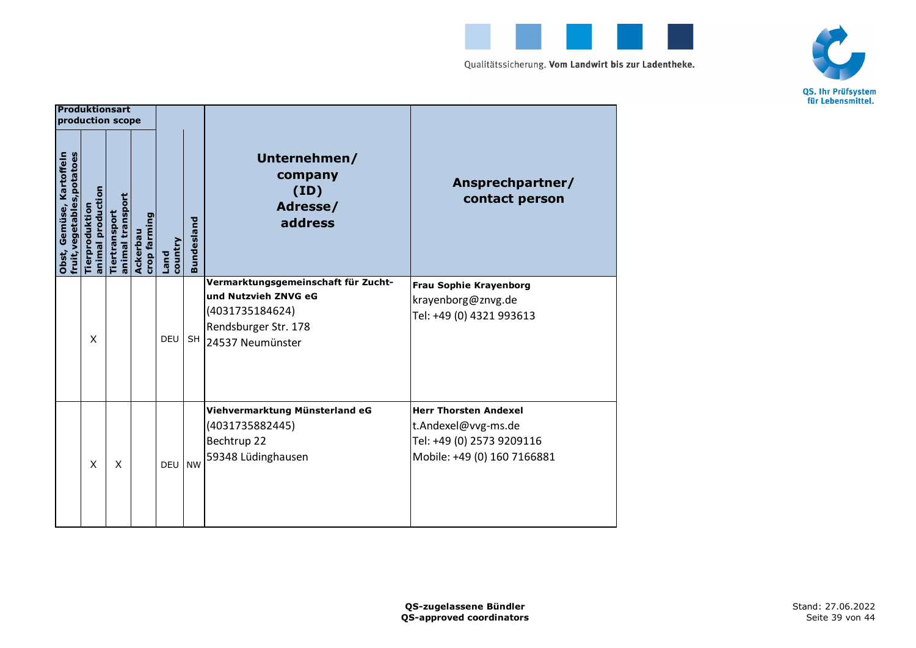



|                                                         | <b>Produktionsart</b><br>production scope |                                   |                         |                        |                   |                                                                                                                            |                                                                                                                 |
|---------------------------------------------------------|-------------------------------------------|-----------------------------------|-------------------------|------------------------|-------------------|----------------------------------------------------------------------------------------------------------------------------|-----------------------------------------------------------------------------------------------------------------|
| fruit, vegetables, potatoes<br>Obst, Gemüse, Kartoffeln | animal production<br>Tierproduktio        | animal transport<br>Tiertransport | crop farmin<br>Ackerbau | country<br><b>Land</b> | <b>Bundesland</b> | Unternehmen/<br>company<br>(ID)<br>Adresse/<br>address                                                                     | Ansprechpartner/<br>contact person                                                                              |
|                                                         | X                                         |                                   |                         | <b>DEU</b>             | <b>SH</b>         | Vermarktungsgemeinschaft für Zucht-<br>und Nutzvieh ZNVG eG<br>(4031735184624)<br>Rendsburger Str. 178<br>24537 Neumünster | <b>Frau Sophie Krayenborg</b><br>krayenborg@znvg.de<br>Tel: +49 (0) 4321 993613                                 |
|                                                         | X                                         | X                                 |                         | <b>DEU</b>             | <b>NW</b>         | Viehvermarktung Münsterland eG<br>(4031735882445)<br>Bechtrup 22<br>59348 Lüdinghausen                                     | <b>Herr Thorsten Andexel</b><br>t.Andexel@vvg-ms.de<br>Tel: +49 (0) 2573 9209116<br>Mobile: +49 (0) 160 7166881 |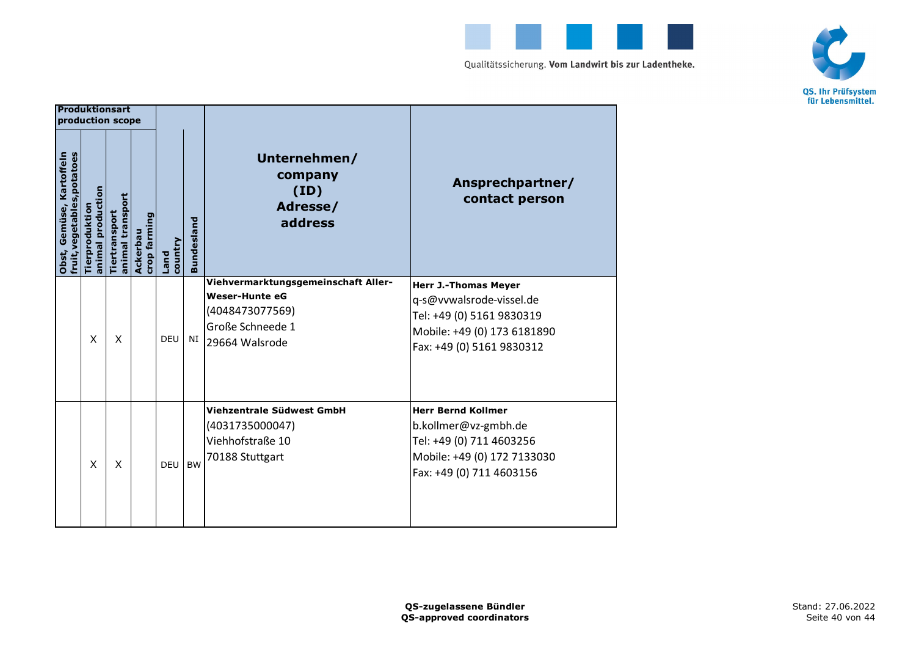



|                                                         | <b>Produktionsart</b><br>production scope |                                   |                          |                 |                   |                                                                                                                       |                                                                                                                                                  |
|---------------------------------------------------------|-------------------------------------------|-----------------------------------|--------------------------|-----------------|-------------------|-----------------------------------------------------------------------------------------------------------------------|--------------------------------------------------------------------------------------------------------------------------------------------------|
| fruit, vegetables, potatoes<br>Obst, Gemüse, Kartoffeln | animal production<br>Tierproduktio        | animal transport<br>Tiertransport | crop farming<br>Ackerbau | country<br>Land | <b>Bundesland</b> | Unternehmen/<br>company<br>(ID)<br>Adresse/<br>address                                                                | Ansprechpartner/<br>contact person                                                                                                               |
|                                                         | $\mathsf{x}$                              | X                                 |                          | <b>DEU</b>      | NI                | Viehvermarktungsgemeinschaft Aller-<br><b>Weser-Hunte eG</b><br>(4048473077569)<br>Große Schneede 1<br>29664 Walsrode | <b>Herr J.-Thomas Meyer</b><br>q-s@vvwalsrode-vissel.de<br>Tel: +49 (0) 5161 9830319<br>Mobile: +49 (0) 173 6181890<br>Fax: +49 (0) 5161 9830312 |
|                                                         | $\mathsf{x}$                              | X                                 |                          | <b>DEU</b>      | <b>BW</b>         | Viehzentrale Südwest GmbH<br>(4031735000047)<br>Viehhofstraße 10<br>70188 Stuttgart                                   | <b>Herr Bernd Kollmer</b><br>b.kollmer@vz-gmbh.de<br>Tel: +49 (0) 711 4603256<br>Mobile: +49 (0) 172 7133030<br>Fax: +49 (0) 711 4603156         |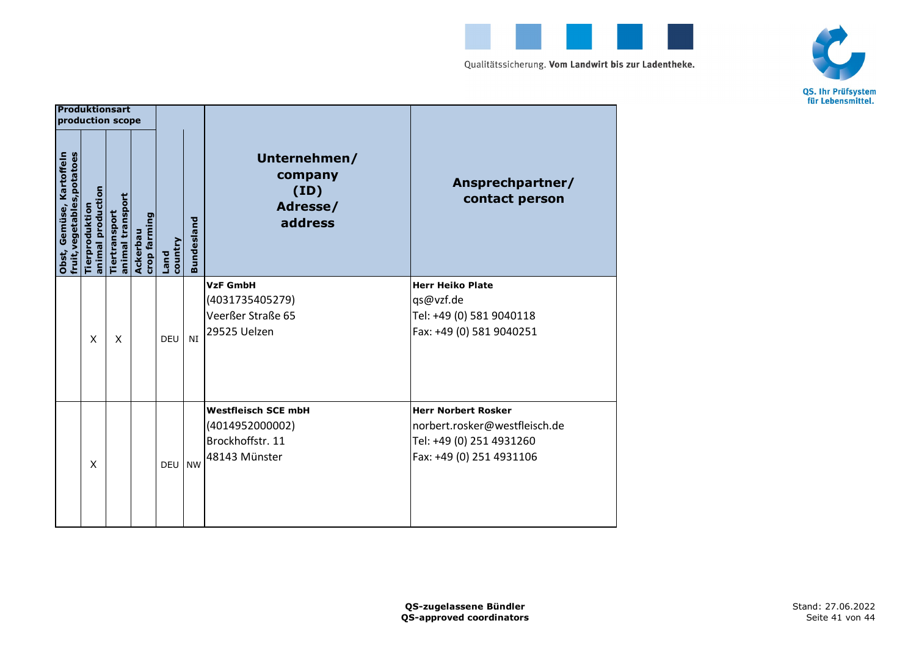



|                                                         | <b>Produktionsart</b><br>production scope |                                   |                          |                 |                   |                                                                                    |                                                                                                                     |
|---------------------------------------------------------|-------------------------------------------|-----------------------------------|--------------------------|-----------------|-------------------|------------------------------------------------------------------------------------|---------------------------------------------------------------------------------------------------------------------|
| fruit, vegetables, potatoes<br>Obst, Gemüse, Kartoffeln | animal production<br>Tierproduktio        | animal transport<br>Tiertransport | crop farming<br>Ackerbau | country<br>Land | <b>Bundesland</b> | Unternehmen/<br>company<br>(ID)<br>Adresse/<br>address                             | Ansprechpartner/<br>contact person                                                                                  |
|                                                         | X                                         | X                                 |                          | DEU             | <b>NI</b>         | <b>VzF GmbH</b><br>(4031735405279)<br>Veerßer Straße 65<br>29525 Uelzen            | <b>Herr Heiko Plate</b><br>qs@vzf.de<br>Tel: +49 (0) 581 9040118<br>Fax: +49 (0) 581 9040251                        |
|                                                         | X                                         |                                   |                          | <b>DEU</b>      | <b>NW</b>         | <b>Westfleisch SCE mbH</b><br>(4014952000002)<br>Brockhoffstr. 11<br>48143 Münster | <b>Herr Norbert Rosker</b><br>norbert.rosker@westfleisch.de<br>Tel: +49 (0) 251 4931260<br>Fax: +49 (0) 251 4931106 |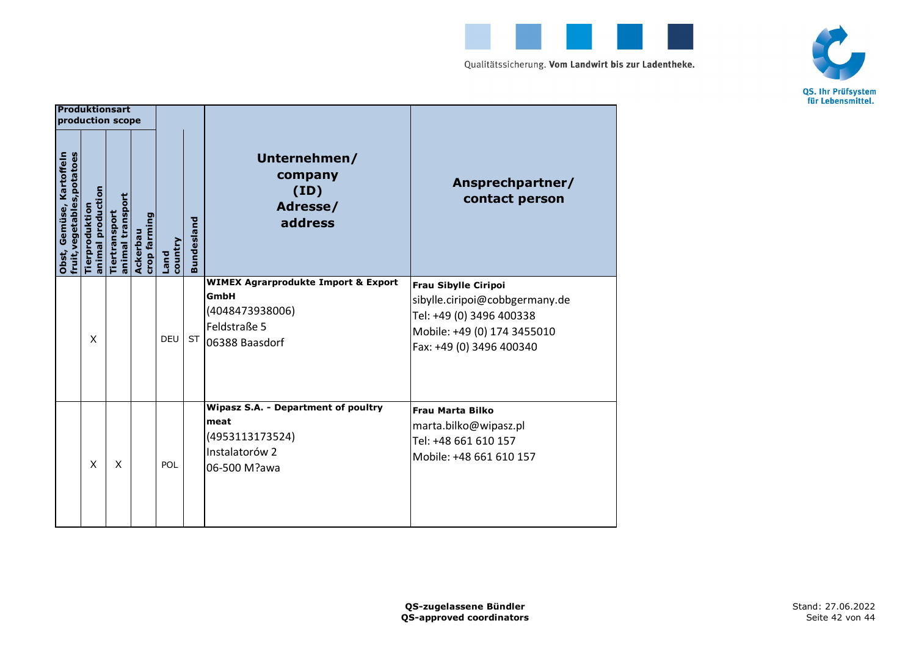



| <b>Produktionsart</b>                                   |                                     | production scope                  |                          |                 |                   |                                                                                                                       |                                                                                                                                                      |
|---------------------------------------------------------|-------------------------------------|-----------------------------------|--------------------------|-----------------|-------------------|-----------------------------------------------------------------------------------------------------------------------|------------------------------------------------------------------------------------------------------------------------------------------------------|
| fruit, vegetables, potatoes<br>Obst, Gemüse, Kartoffeln | animal production<br>Tierproduktion | animal transport<br>Tiertransport | crop farming<br>Ackerbau | country<br>Land | <b>Bundesland</b> | Unternehmen/<br>company<br>(ID)<br>Adresse/<br>address                                                                | Ansprechpartner/<br>contact person                                                                                                                   |
|                                                         | X                                   |                                   |                          | <b>DEU</b>      |                   | <b>WIMEX Agrarprodukte Import &amp; Export</b><br><b>GmbH</b><br>(4048473938006)<br>Feldstraße 5<br>ST 06388 Baasdorf | <b>Frau Sibylle Ciripoi</b><br>sibylle.ciripoi@cobbgermany.de<br>Tel: +49 (0) 3496 400338<br>Mobile: +49 (0) 174 3455010<br>Fax: +49 (0) 3496 400340 |
|                                                         | X                                   | X                                 |                          | POL             |                   | Wipasz S.A. - Department of poultry<br>meat<br>(4953113173524)<br>Instalatorów 2<br>06-500 M?awa                      | <b>Frau Marta Bilko</b><br>marta.bilko@wipasz.pl<br>Tel: +48 661 610 157<br>Mobile: +48 661 610 157                                                  |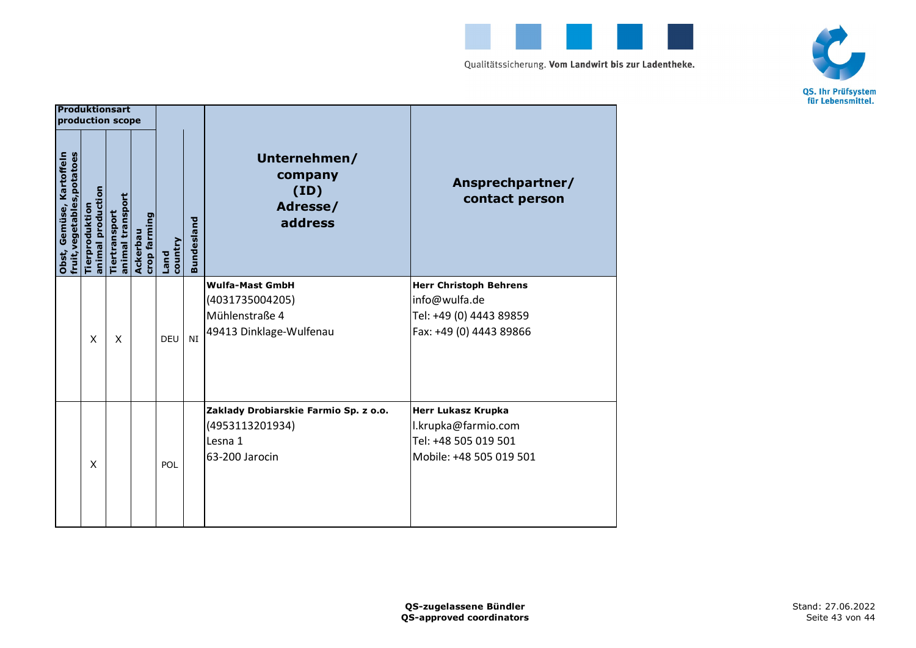



| Produktionsart                                          | production scope                   |                                   |                          |                 |                   |                                                                                        |                                                                                                      |
|---------------------------------------------------------|------------------------------------|-----------------------------------|--------------------------|-----------------|-------------------|----------------------------------------------------------------------------------------|------------------------------------------------------------------------------------------------------|
| fruit, vegetables, potatoes<br>Obst, Gemüse, Kartoffeln | animal production<br>Tierproduktio | animal transport<br>Tiertransport | crop farming<br>Ackerbau | country<br>Land | <b>Bundesland</b> | Unternehmen/<br>company<br>(ID)<br>Adresse/<br>address                                 | Ansprechpartner/<br>contact person                                                                   |
|                                                         | X                                  | X                                 |                          | <b>DEU</b>      | NI                | <b>Wulfa-Mast GmbH</b><br>(4031735004205)<br>Mühlenstraße 4<br>49413 Dinklage-Wulfenau | <b>Herr Christoph Behrens</b><br>info@wulfa.de<br>Tel: +49 (0) 4443 89859<br>Fax: +49 (0) 4443 89866 |
|                                                         | X                                  |                                   |                          | POL             |                   | Zaklady Drobiarskie Farmio Sp. z o.o.<br>(4953113201934)<br>Lesna 1<br>63-200 Jarocin  | <b>Herr Lukasz Krupka</b><br>l.krupka@farmio.com<br>Tel: +48 505 019 501<br>Mobile: +48 505 019 501  |